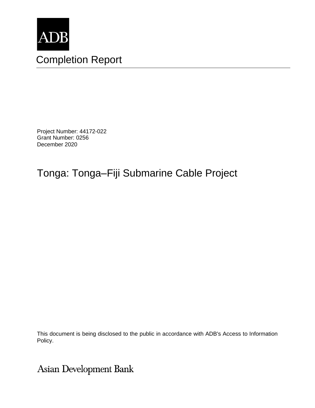

Project Number: 44172-022 Grant Number: 0256 December 2020

# Tonga: Tonga–Fiji Submarine Cable Project

This document is being disclosed to the public in accordance with ADB's Access to Information Policy.

Asian Development Bank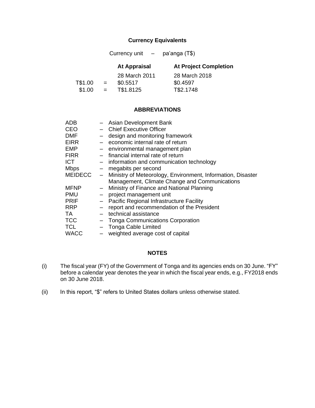#### **Currency Equivalents**

Currency unit – pa'anga (T\$)

|         |     | <b>At Appraisal</b> | <b>At Project Completion</b> |
|---------|-----|---------------------|------------------------------|
|         |     | 28 March 2011       | 28 March 2018                |
| T\$1.00 | $=$ | \$0.5517            | \$0.4597                     |
| \$1.00  | $=$ | T\$1.8125           | T\$2.1748                    |

#### **ABBREVIATIONS**

| <b>ADB</b>     |                          | - Asian Development Bank                                    |
|----------------|--------------------------|-------------------------------------------------------------|
| <b>CEO</b>     |                          | - Chief Executive Officer                                   |
| <b>DMF</b>     |                          | design and monitoring framework                             |
| <b>EIRR</b>    |                          | - economic internal rate of return                          |
| <b>EMP</b>     |                          | - environmental management plan                             |
| <b>FIRR</b>    |                          | - financial internal rate of return                         |
| <b>ICT</b>     |                          | - information and communication technology                  |
| <b>Mbps</b>    | $-$                      | megabits per second                                         |
| <b>MEIDECC</b> | $\overline{\phantom{0}}$ | Ministry of Meteorology, Environment, Information, Disaster |
|                |                          | Management, Climate Change and Communications               |
| <b>MFNP</b>    | $\qquad \qquad -$        | Ministry of Finance and National Planning                   |
| <b>PMU</b>     |                          |                                                             |
|                |                          | project management unit                                     |
| <b>PRIF</b>    | $\overline{\phantom{0}}$ | Pacific Regional Infrastructure Facility                    |
| <b>RRP</b>     |                          | report and recommendation of the President                  |
| TA.            |                          | technical assistance                                        |
| <b>TCC</b>     |                          | Tonga Communications Corporation                            |
| <b>TCL</b>     |                          | - Tonga Cable Limited                                       |

#### **NOTES**

- (i) The fiscal year (FY) of the Government of Tonga and its agencies ends on 30 June. "FY" before a calendar year denotes the year in which the fiscal year ends, e.g., FY2018 ends on 30 June 2018.
- (ii) In this report, "\$" refers to United States dollars unless otherwise stated.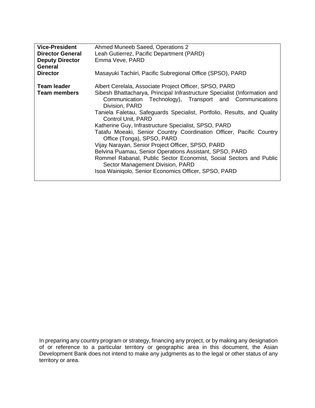| <b>Vice-President</b><br><b>Director General</b><br><b>Deputy Director</b> | Ahmed Muneeb Saeed, Operations 2<br>Leah Gutierrez, Pacific Department (PARD)<br>Emma Veve, PARD                                                                                                                                                                                                                                                                                                                                                                                                                                                                                                                                                                                                                                                                        |
|----------------------------------------------------------------------------|-------------------------------------------------------------------------------------------------------------------------------------------------------------------------------------------------------------------------------------------------------------------------------------------------------------------------------------------------------------------------------------------------------------------------------------------------------------------------------------------------------------------------------------------------------------------------------------------------------------------------------------------------------------------------------------------------------------------------------------------------------------------------|
| <b>General</b><br><b>Director</b>                                          | Masayuki Tachiiri, Pacific Subregional Office (SPSO), PARD                                                                                                                                                                                                                                                                                                                                                                                                                                                                                                                                                                                                                                                                                                              |
| Team leader<br><b>Team members</b>                                         | Albert Cerelala, Associate Project Officer, SPSO, PARD<br>Sibesh Bhattacharya, Principal Infrastructure Specialist (Information and<br>Communication Technology), Transport and Communications<br>Division, PARD<br>Taniela Faletau, Safeguards Specialist, Portfolio, Results, and Quality<br><b>Control Unit, PARD</b><br>Katherine Guy, Infrastructure Specialist, SPSO, PARD<br>Tatafu Moeaki, Senior Country Coordination Officer, Pacific Country<br>Office (Tonga), SPSO, PARD<br>Vijay Narayan, Senior Project Officer, SPSO, PARD<br>Belvina Puamau, Senior Operations Assistant, SPSO, PARD<br>Rommel Rabanal, Public Sector Economist, Social Sectors and Public<br>Sector Management Division, PARD<br>Isoa Wainiqolo, Senior Economics Officer, SPSO, PARD |

In preparing any country program or strategy, financing any project, or by making any designation of or reference to a particular territory or geographic area in this document, the Asian Development Bank does not intend to make any judgments as to the legal or other status of any territory or area.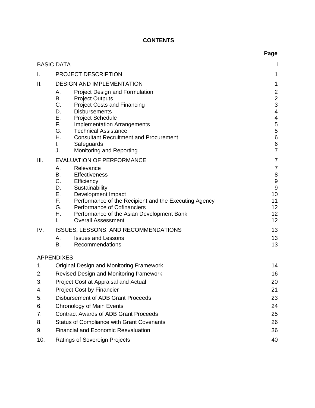# **CONTENTS**

|          |                                                                                                                                                                                                                                                                                                                                                                                                                                          | Page                                                                                                                                 |
|----------|------------------------------------------------------------------------------------------------------------------------------------------------------------------------------------------------------------------------------------------------------------------------------------------------------------------------------------------------------------------------------------------------------------------------------------------|--------------------------------------------------------------------------------------------------------------------------------------|
|          | <b>BASIC DATA</b>                                                                                                                                                                                                                                                                                                                                                                                                                        |                                                                                                                                      |
| I.       | <b>PROJECT DESCRIPTION</b>                                                                                                                                                                                                                                                                                                                                                                                                               | 1                                                                                                                                    |
| II.      | <b>DESIGN AND IMPLEMENTATION</b>                                                                                                                                                                                                                                                                                                                                                                                                         | 1                                                                                                                                    |
|          | <b>Project Design and Formulation</b><br>А.<br>В.<br><b>Project Outputs</b><br>C.<br><b>Project Costs and Financing</b><br>D.<br><b>Disbursements</b><br>Ε.<br><b>Project Schedule</b><br>F.<br><b>Implementation Arrangements</b><br>G.<br><b>Technical Assistance</b><br>Η.<br><b>Consultant Recruitment and Procurement</b><br>Safeguards<br>I.<br>J.<br>Monitoring and Reporting                                                     | $\overline{a}$<br>$\frac{2}{3}$<br>$\overline{\mathcal{A}}$<br>$\overline{\mathcal{A}}$<br>$\frac{5}{5}$<br>6<br>6<br>$\overline{7}$ |
| III.     | <b>EVALUATION OF PERFORMANCE</b>                                                                                                                                                                                                                                                                                                                                                                                                         | 7                                                                                                                                    |
| IV.      | А.<br>Relevance<br><b>B.</b><br><b>Effectiveness</b><br>C.<br>Efficiency<br>D.<br>Sustainability<br>Е.<br>Development Impact<br>F.<br>Performance of the Recipient and the Executing Agency<br>G.<br><b>Performance of Cofinanciers</b><br>Η.<br>Performance of the Asian Development Bank<br><b>Overall Assessment</b><br>L.<br><b>ISSUES, LESSONS, AND RECOMMENDATIONS</b><br><b>Issues and Lessons</b><br>А.<br>B.<br>Recommendations | 7<br>8<br>9<br>9<br>10<br>11<br>12<br>12<br>12<br>13<br>13<br>13                                                                     |
|          |                                                                                                                                                                                                                                                                                                                                                                                                                                          |                                                                                                                                      |
|          | <b>APPENDIXES</b>                                                                                                                                                                                                                                                                                                                                                                                                                        |                                                                                                                                      |
| 1.<br>2. | <b>Original Design and Monitoring Framework</b><br>Revised Design and Monitoring framework                                                                                                                                                                                                                                                                                                                                               | 14<br>16                                                                                                                             |
| 3.       | Project Cost at Appraisal and Actual                                                                                                                                                                                                                                                                                                                                                                                                     | 20                                                                                                                                   |
| 4.       | <b>Project Cost by Financier</b>                                                                                                                                                                                                                                                                                                                                                                                                         | 21                                                                                                                                   |
| 5.       | Disbursement of ADB Grant Proceeds                                                                                                                                                                                                                                                                                                                                                                                                       | 23                                                                                                                                   |
| 6.       | <b>Chronology of Main Events</b>                                                                                                                                                                                                                                                                                                                                                                                                         | 24                                                                                                                                   |
| 7.       | <b>Contract Awards of ADB Grant Proceeds</b>                                                                                                                                                                                                                                                                                                                                                                                             | 25                                                                                                                                   |
| 8.       | <b>Status of Compliance with Grant Covenants</b>                                                                                                                                                                                                                                                                                                                                                                                         | 26                                                                                                                                   |
| 9.       | <b>Financial and Economic Reevaluation</b>                                                                                                                                                                                                                                                                                                                                                                                               | 36                                                                                                                                   |
| 10.      | Ratings of Sovereign Projects                                                                                                                                                                                                                                                                                                                                                                                                            | 40                                                                                                                                   |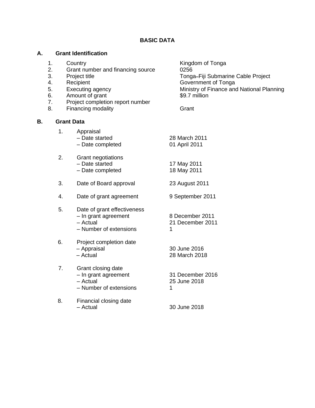#### **BASIC DATA**

#### **A. Grant Identification**

- 
- 2. Grant number and financing source 0256
- 
- 
- 
- 6. Amount of grant 6. Second 199.7 million
- 7. Project completion report number
- 8. Financing modality **Grant**

#### **B. Grant Data**

| Appraisal        |               |
|------------------|---------------|
| - Date started   | 28 March 2011 |
| - Date completed | 01 April 2011 |

- 2. Grant negotiations – Date started – Date completed 17 May 2011 18 May 2011
- 3. Date of Board approval 23 August 2011
- 4. Date of grant agreement 9 September 2011
- 5. Date of grant effectiveness – In grant agreement – Actual 8 December 2011 21 December 2011 1
	- Number of extensions
- 6. Project completion date – Appraisal – Actual 30 June 2016 28 March 2018
- 7. Grant closing date – In grant agreement – Actual – Number of extensions 31 December 2016 25 June 2018 1
- 8. Financial closing date<br>- Actual 30 June 2018

1. Country **Countrillege Countrillege Countrillege Countries Countries Countries Countries Countries Countries Countries Countries Countries Countries Countries Countries Countries Countries Countries Countries Countries C** 3. Project title Tonga**–**Fiji Submarine Cable Project 4. Recipient **Government of Tonga** 5. Executing agency Ministry of Finance and National Planning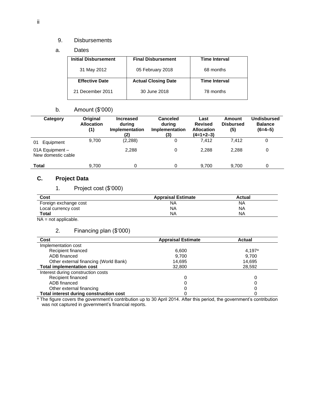#### 9. Disbursements

a. Dates

| <b>Initial Disbursement</b> | <b>Final Disbursement</b>  | <b>Time Interval</b> |  |
|-----------------------------|----------------------------|----------------------|--|
| 31 May 2012                 | 05 February 2018           | 68 months            |  |
| <b>Effective Date</b>       | <b>Actual Closing Date</b> | <b>Time Interval</b> |  |
| 21 December 2011            | 30 June 2018               | 78 months            |  |

## b. Amount (\$'000)

| Category                              | Original<br><b>Allocation</b><br>(1) | <b>Increased</b><br>during<br>Implementation<br>(2) | <b>Canceled</b><br>during<br>Implementation<br>(3) | Last<br><b>Revised</b><br><b>Allocation</b><br>(4=1+2-3) | Amount<br><b>Disbursed</b><br>(5) | Undisbursed<br><b>Balance</b><br>$(6=4-5)$ |
|---------------------------------------|--------------------------------------|-----------------------------------------------------|----------------------------------------------------|----------------------------------------------------------|-----------------------------------|--------------------------------------------|
| Equipment<br>01                       | 9,700                                | (2, 288)                                            |                                                    | 7.412                                                    | 7.412                             | 0                                          |
| 01A Equipment -<br>New domestic cable |                                      | 2.288                                               | 0                                                  | 2,288                                                    | 2,288                             | 0                                          |
| Total                                 | 9,700                                |                                                     |                                                    | 9,700                                                    | 9,700                             | O                                          |

# **C. Project Data**

1. Project cost (\$'000)

| Cost                  | <b>Appraisal Estimate</b> | <b>Actual</b> |
|-----------------------|---------------------------|---------------|
| Foreign exchange cost | ΝA                        | NA            |
| Local currency cost   | <b>NA</b>                 | NA            |
| <b>Total</b>          | NA                        | <b>NA</b>     |

NA = not applicable.

## 2. Financing plan (\$'000)

| Cost                                    | <b>Appraisal Estimate</b> | Actual |
|-----------------------------------------|---------------------------|--------|
| Implementation cost                     |                           |        |
| Recipient financed                      | 6.600                     | 4.197a |
| ADB financed                            | 9.700                     | 9.700  |
| Other external financing (World Bank)   | 14,695                    | 14,695 |
| <b>Total implementation cost</b>        | 32,800                    | 28.592 |
| Interest during construction costs      |                           |        |
| Recipient financed                      | 0                         |        |
| ADB financed                            | 0                         |        |
| Other external financing                | 0                         |        |
| Total interest during construction cost |                           |        |

<sup>a</sup> The figure covers the government's contribution up to 30 April 2014. After this period, the government's contribution was not captured in government's financial reports.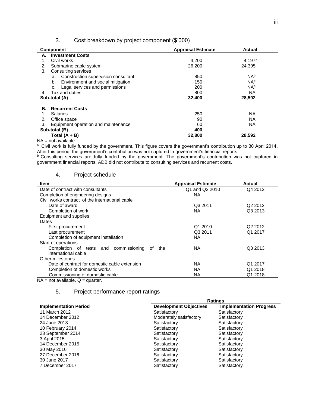| Cost breakdown by project component (\$'000)<br>3. |  |  |
|----------------------------------------------------|--|--|
|----------------------------------------------------|--|--|

|               | <b>Component</b>                          | <b>Appraisal Estimate</b> | <b>Actual</b>   |
|---------------|-------------------------------------------|---------------------------|-----------------|
| А.            | <b>Investment Costs</b>                   |                           |                 |
|               | Civil works                               | 4,200                     | $4,197^a$       |
| 2.            | Submarine cable system                    | 26,200                    | 24.395          |
| 3.            | Consulting services                       |                           |                 |
|               | Construction supervision consultant<br>a. | 850                       | NA <sup>b</sup> |
|               | Environment and social mitigation<br>b.   | 150                       | N <sub>Ab</sub> |
|               | Legal services and permissions<br>c.      | 200                       | N <sub>Ab</sub> |
| 4.            | Tax and duties                            | 800                       | ΝA              |
|               | Sub-total (A)                             | 32,400                    | 28,592          |
| В.            | <b>Recurrent Costs</b>                    |                           |                 |
|               | <b>Salaries</b>                           | 250                       | <b>NA</b>       |
| 2.            | Office space                              | 90                        | <b>NA</b>       |
| 3.            | Equipment operation and maintenance       | 60                        | ΝA              |
| Sub-total (B) |                                           | 400                       |                 |
|               | Total (A + B)                             | 32,800                    | 28,592          |

NA = not available.

a Civil work is fully funded by the government. This figure covers the government's contribution up to 30 April 2014. After this period, the government's contribution was not captured in government's financial reports.

 $b$  Consulting services are fully funded by the government. The government's contribution was not captured in government financial reports. ADB did not contribute to consulting services and recurrent costs.

#### 4. Project schedule

| <b>Item</b>                                           | <b>Appraisal Estimate</b> | <b>Actual</b>       |
|-------------------------------------------------------|---------------------------|---------------------|
| Date of contract with consultants                     | Q1 and Q2 2010            | Q4 2012             |
| Completion of engineering designs                     | NA.                       |                     |
| Civil works contract of the international cable       |                           |                     |
| Date of award                                         | Q3 2011                   | Q <sub>2</sub> 2012 |
| Completion of work                                    | NA.                       | Q3 2013             |
| Equipment and supplies                                |                           |                     |
| Dates                                                 |                           |                     |
| First procurement                                     | Q1 2010                   | Q <sub>2</sub> 2012 |
| Last procurement                                      | Q3 2011                   | Q1 2017             |
| Completion of equipment installation                  | NA.                       |                     |
| Start of operations                                   |                           |                     |
| Completion of tests and<br>commissioning<br>the<br>of | NA.                       | Q3 2013             |
| international cable                                   |                           |                     |
| Other milestones                                      |                           |                     |
| Date of contract for domestic cable extension         | NA.                       | Q1 2017             |
| Completion of domestic works                          | NA.                       | Q1 2018             |
| Commissioning of domestic cable                       | <b>NA</b>                 | Q1 2018             |

 $NA = not available, Q = quarter.$ 

#### 5. Project performance report ratings

|                              |                               | <b>Ratings</b>                 |  |  |  |  |
|------------------------------|-------------------------------|--------------------------------|--|--|--|--|
| <b>Implementation Period</b> | <b>Development Objectives</b> | <b>Implementation Progress</b> |  |  |  |  |
| 11 March 2012                | Satisfactory                  | Satisfactory                   |  |  |  |  |
| 14 December 2012             | Moderately satisfactory       | Satisfactory                   |  |  |  |  |
| 24 June 2013                 | Satisfactory                  | Satisfactory                   |  |  |  |  |
| 10 February 2014             | Satisfactory                  | Satisfactory                   |  |  |  |  |
| 28 September 2014            | Satisfactory                  | Satisfactory                   |  |  |  |  |
| 3 April 2015                 | Satisfactory                  | Satisfactory                   |  |  |  |  |
| 14 December 2015             | Satisfactory                  | Satisfactory                   |  |  |  |  |
| 30 May 2016                  | Satisfactory                  | Satisfactory                   |  |  |  |  |
| 27 December 2016             | Satisfactory                  | Satisfactory                   |  |  |  |  |
| 30 June 2017                 | Satisfactory                  | Satisfactory                   |  |  |  |  |
| 7 December 2017              | Satisfactory                  | Satisfactory                   |  |  |  |  |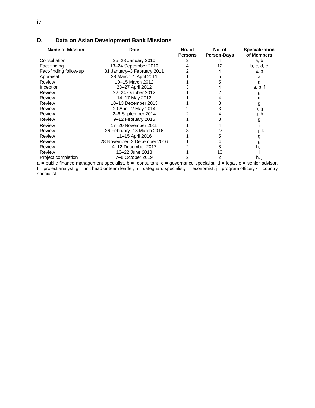| <b>Name of Mission</b> | <b>Date</b>                 |                | No. of             | <b>Specialization</b> |
|------------------------|-----------------------------|----------------|--------------------|-----------------------|
|                        |                             | <b>Persons</b> | <b>Person-Days</b> | of Members            |
| Consultation           | 25-28 January 2010          |                |                    | a, b                  |
| Fact finding           | 13-24 September 2010        |                | 12                 | b, c, d, e            |
| Fact-finding follow-up | 31 January-3 February 2011  |                |                    | a, b                  |
| Appraisal              | 28 March-1 April 2011       |                |                    | a                     |
| Review                 | 10-15 March 2012            |                |                    | a                     |
| Inception              | 23-27 April 2012            |                |                    | a, b, f               |
| Review                 | 22-24 October 2012          |                |                    | g                     |
| Review                 | 14-17 May 2013              |                |                    | g                     |
| Review                 | 10-13 December 2013         |                |                    | g                     |
| Review                 | 29 April-2 May 2014         |                | 3                  | b, g                  |
| Review                 | 2-6 September 2014          |                |                    | g, h                  |
| Review                 | 9-12 February 2015          |                |                    | g                     |
| Review                 | 17-20 November 2015         |                |                    |                       |
| Review                 | 26 February-18 March 2016   |                | 27                 | i, j, k               |
| Review                 | 11-15 April 2016            |                | 5                  | g                     |
| Review                 | 28 November-2 December 2016 |                |                    | g                     |
| Review                 | 4-12 December 2017          |                | 8                  | h, j                  |
| Review                 | 13–22 June 2018             |                | 10                 |                       |
| Project completion     | 7-8 October 2019            |                |                    | h,                    |

## **D. Data on Asian Development Bank Missions**

a = public finance management specialist, b = consultant, c = governance specialist, d = legal, e = senior advisor, f = project analyst, g = unit head or team leader, h = safeguard specialist, i = economist, j = program officer, k = country specialist.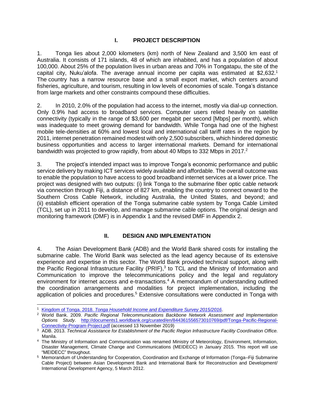#### **I. PROJECT DESCRIPTION**

<span id="page-10-0"></span>1. Tonga lies about 2,000 kilometers (km) north of New Zealand and 3,500 km east of Australia. It consists of 171 islands, 48 of which are inhabited, and has a population of about 100,000. About 25% of the population lives in urban areas and 70% in Tongatapu, the site of the capital city, Nuku'alofa. The average annual income per capita was estimated at \$2,632. 1 The country has a narrow resource base and a small export market, which centers around fisheries, agriculture, and tourism, resulting in low levels of economies of scale. Tonga's distance from large markets and other constraints compound these difficulties.

2. In 2010, 2.0% of the population had access to the internet, mostly via dial-up connection. Only 0.9% had access to broadband services. Computer users relied heavily on satellite connectivity (typically in the range of \$3,600 per megabit per second [Mbps] per month), which was inadequate to meet growing demand for bandwidth. While Tonga had one of the highest mobile tele-densities at 60% and lowest local and international call tariff rates in the region by 2011, internet penetration remained modest with only 2,500 subscribers, which hindered domestic business opportunities and access to larger international markets. Demand for international bandwidth was projected to grow rapidly, from about 40 Mbps to 332 Mbps in 2017.<sup>2</sup>

3. The project's intended impact was to improve Tonga's economic performance and public service delivery by making ICT services widely available and affordable. The overall outcome was to enable the population to have access to good broadband internet services at a lower price. The project was designed with two outputs: (i) link Tonga to the submarine fiber optic cable network via connection through Fiji, a distance of 827 km, enabling the country to connect onward to the Southern Cross Cable Network, including Australia, the United States, and beyond; and (ii) establish efficient operation of the Tonga submarine cable system by Tonga Cable Limited (TCL), set up in 2011 to develop, and manage submarine cable options. The original design and monitoring framework (DMF) is in Appendix 1 and the revised DMF in Appendix 2.

## **II. DESIGN AND IMPLEMENTATION**

<span id="page-10-1"></span>4. The Asian Development Bank (ADB) and the World Bank shared costs for installing the submarine cable. The World Bank was selected as the lead agency because of its extensive experience and expertise in this sector. The World Bank provided technical support, along with the Pacific Regional Infrastructure Facility (PRIF),<sup>3</sup> to TCL and the Ministry of Information and Communication to improve the telecommunications policy and the legal and regulatory environment for internet access and e-transactions. <sup>4</sup> A memorandum of understanding outlined the coordination arrangements and modalities for project implementation, including the application of policies and procedures.<sup>5</sup> Extensive consultations were conducted in Tonga with

<sup>1</sup> Kingdom of Tonga. 2018. *[Tonga Household Income and Expenditure Survey 2015/2016](https://sdd.spc.int/news/2018/02/02/tonga-household-income-and-expenditure-survey-20152016-report)*.

<sup>2</sup> World Bank. 2009. *Pacific Regional Telecommunications Backbone Network Assessment and Implementation Options Study*. [http://documents1.worldbank.org/curated/en/844361556573010769/pdf/Tonga-Pacific-Regional-](http://documents1.worldbank.org/curated/en/844361556573010769/pdf/Tonga-Pacific-Regional-Connectivity-Program-Project.pdf)[Connectivity-Program-Project.pdf](http://documents1.worldbank.org/curated/en/844361556573010769/pdf/Tonga-Pacific-Regional-Connectivity-Program-Project.pdf) (accessed 13 November 2019)

<sup>3</sup> ADB. 2013. *Technical Assistance for Establishment of the Pacific Region Infrastructure Facility Coordination Office.*  Manila.

<sup>4</sup> The Ministry of Information and Communication was renamed Ministry of Meteorology, Environment, Information, Disaster Management, Climate Change and Communications (MEIDECC) in January 2015. This report will use "MEIDECC" throughout.

<sup>5</sup> Memorandum of Understanding for Cooperation, Coordination and Exchange of Information (Tonga–Fiji Submarine Cable Project) between Asian Development Bank and International Bank for Reconstruction and Development/ International Development Agency, 5 March 2012.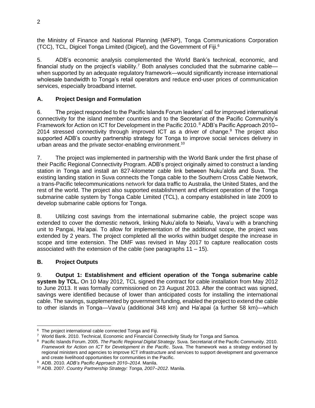the Ministry of Finance and National Planning (MFNP), Tonga Communications Corporation (TCC), TCL, Digicel Tonga Limited (Digicel), and the Government of Fiji. 6

5. ADB's economic analysis complemented the World Bank's technical, economic, and financial study on the project's viability.<sup>7</sup> Both analyses concluded that the submarine cable when supported by an adequate regulatory framework—would significantly increase international wholesale bandwidth to Tonga's retail operators and reduce end-user prices of communication services, especially broadband internet.

## <span id="page-11-0"></span>**A. Project Design and Formulation**

6. The project responded to the Pacific Islands Forum leaders' call for improved international connectivity for the island member countries and to the Secretariat of the Pacific Community's Framework for Action on ICT for Development in the Pacific 2010.<sup>8</sup> ADB's Pacific Approach 2010– 2014 stressed connectivity through improved ICT as a driver of change.<sup>9</sup> The project also supported ADB's country partnership strategy for Tonga to improve social services delivery in urban areas and the private sector-enabling environment.<sup>10</sup>

7. The project was implemented in partnership with the World Bank under the first phase of their Pacific Regional Connectivity Program. ADB's project originally aimed to construct a landing station in Tonga and install an 827-kilometer cable link between Nuku'alofa and Suva. The existing landing station in Suva connects the Tonga cable to the Southern Cross Cable Network, a trans[-Pacific](https://en.wikipedia.org/wiki/Pacific_Ocean) telecommunications network for data traffic to Australia, the United States, and the rest of the world. The project also supported establishment and efficient operation of the Tonga submarine cable system by Tonga Cable Limited (TCL), a company established in late 2009 to develop submarine cable options for Tonga.

8. Utilizing cost savings from the international submarine cable, the project scope was extended to cover the domestic network, linking Nuku'alofa to Neiafu, Vava'u with a branching unit to Pangai, Ha'apai. To allow for implementation of the additional scope, the project was extended by 2 years. The project completed all the works within budget despite the increase in scope and time extension. The DMF was revised in May 2017 to capture reallocation costs associated with the extension of the cable (see paragraphs  $11 - 15$ ).

## <span id="page-11-1"></span>**B. Project Outputs**

9. **Output 1: Establishment and efficient operation of the Tonga submarine cable system by TCL.** On 10 May 2012, TCL signed the contract for cable installation from May 2012 to June 2013. It was formally commissioned on 23 August 2013. After the contract was signed, savings were identified because of lower than anticipated costs for installing the international cable. The savings, supplemented by government funding, enabled the project to extend the cable to other islands in Tonga—Vava'u (additional 348 km) and Ha'apai (a further 58 km)—which

<sup>&</sup>lt;sup>6</sup> The project international cable connected Tonga and Fiji.

<sup>7</sup> World Bank. 2010. Technical, Economic and Financial Connectivity Study for Tonga and Samoa.

<sup>8</sup> Pacific Islands Forum. 2005. *The Pacific Regional Digital Strategy*. Suva. Secretariat of the Pacific Community. 2010. *Framework for Action on ICT for Development in the Pacific*. Suva. The framework was a strategy endorsed by regional ministers and agencies to improve ICT infrastructure and services to support development and governance and create livelihood opportunities for communities in the Pacific.

<sup>9</sup> ADB. 2010*. ADB's Pacific Approach 2010–2014*. Manila.

<sup>10</sup> ADB. 2007. *Country Partnership Strategy: Tonga, 2007–2012*. Manila.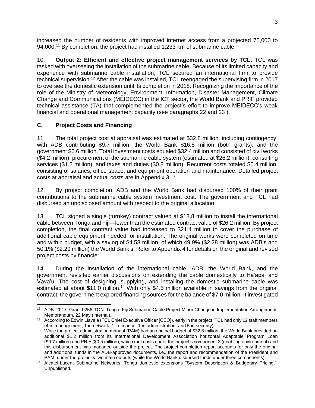increased the number of residents with improved internet access from a projected 75,000 to 94,000.<sup>11</sup> By completion, the project had installed 1,233 km of submarine cable.

10. **Output 2: Efficient and effective project management services by TCL.** TCL was tasked with overseeing the installation of the submarine cable. Because of its limited capacity and experience with submarine cable installation, TCL secured an international firm to provide technical supervision.<sup>12</sup> After the cable was installed, TCL reengaged the supervising firm in 2017 to oversee the domestic extension until its completion in 2018. Recognizing the importance of the role of the Ministry of Meteorology, Environment, Information, Disaster Management, Climate Change and Communications (MEIDECC) in the ICT sector, the World Bank and PRIF provided technical assistance (TA) that complemented the project's effort to improve MEIDECC's weak financial and operational management capacity (see paragraphs 22 and 23 ).

## <span id="page-12-0"></span>**C. Project Costs and Financing**

11. The total project cost at appraisal was estimated at \$32.8 million, including contingency, with ADB contributing \$9.7 million, the World Bank \$16.5 million (both grants), and the government \$6.6 million. Total investment costs equaled \$32.4 million and consisted of civil works (\$4.2 million), procurement of the submarine cable system (estimated at \$26.2 million), consulting services (\$1.2 million), and taxes and duties (\$0.8 million). Recurrent costs totaled \$0.4 million, consisting of salaries, office space, and equipment operation and maintenance. Detailed project costs at appraisal and actual costs are in Appendix 3.<sup>13</sup>

12. By project completion, ADB and the World Bank had disbursed 100% of their grant contributions to the submarine cable system investment cost. The government and TCL had disbursed an undisclosed amount with respect to the original allocation.

13. TCL signed a single (turnkey) contract valued at \$18.8 million to install the international cable between Tonga and Fiji—lower than the estimated contract value of \$26.2 million. By project completion, the final contract value had increased to \$21.4 million to cover the purchase of additional cable equipment needed for installation. The original works were completed on time and within budget, with a saving of \$4.58 million, of which 49.9% (\$2.28 million) was ADB's and 50.1% (\$2.29 million) the World Bank's. Refer to Appendix 4 for details on the original and revised project costs by financier.

14. During the installation of the international cable, ADB, the World Bank, and the government revisited earlier discussions on extending the cable domestically to Ha'apai and Vava'u. The cost of designing, supplying, and installing the domestic submarine cable was estimated at about \$11.0 million.<sup>14</sup> With only \$4.5 million available in savings from the original contract, the government explored financing sources for the balance of \$7.0 million. It investigated

<sup>11</sup> ADB. 2017. Grant 0256-TON: Tonga–Fiji Submarine Cable Project Minor Change in Implementation Arrangement, Memorandum, 22 May (internal).

<sup>&</sup>lt;sup>12</sup> According to Edwin Liava'a (TCL Chief Executive Officer [CEO]), early in the project, TCL had only 12 staff members (4 in management, 1 in network, 1 in finance, 1 in administration, and 5 in security).

<sup>&</sup>lt;sup>13</sup> While the project administration manual (PAM) had an original budget of \$32.8 million, the World Bank provided an additional \$1.2 million from its International Development Association horizontal Adaptable Program Loan (\$0.7 million) and PRIF (\$0.5 million), which met costs under the project's component 2 (enabling environment) and this disbursement was managed outside the project. The project completion report accounts for only the original and additional funds in the ADB-approved documents, i.e., the report and recommendation of the President and PAM, under the project's two main outputs (while the World Bank disbursed funds under three components).

<sup>14</sup> Alcatel-Lucent Submarine Networks: Tonga domestic extensions "System Description & Budgetary Pricing,". Unpublished.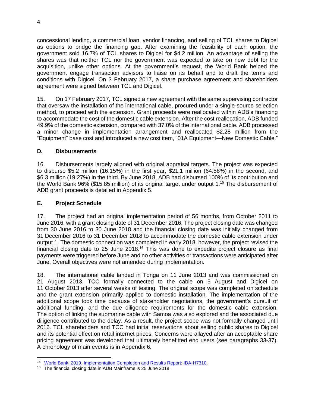concessional lending, a commercial loan, vendor financing, and selling of TCL shares to Digicel as options to bridge the financing gap. After examining the feasibility of each option, the government sold 16.7% of TCL shares to Digicel for \$4.2 million. An advantage of selling the shares was that neither TCL nor the government was expected to take on new debt for the acquisition, unlike other options. At the government's request, the World Bank helped the government engage transaction advisors to liaise on its behalf and to draft the terms and conditions with Digicel. On 3 February 2017, a share purchase agreement and shareholders agreement were signed between TCL and Digicel.

15. On 17 February 2017, TCL signed a new agreement with the same supervising contractor that oversaw the installation of the international cable, procured under a single-source selection method, to proceed with the extension. Grant proceeds were reallocated within ADB's financing to accommodate the cost of the domestic cable extension. After the cost reallocation, ADB funded 49.9% of the domestic extension, compared with 37.0% of the international cable. ADB processed a minor change in implementation arrangement and reallocated \$2.28 million from the "Equipment" base cost and introduced a new cost item, "01A Equipment—New Domestic Cable."

## <span id="page-13-0"></span>**D. Disbursements**

16. Disbursements largely aligned with original appraisal targets. The project was expected to disburse \$5.2 million (16.15%) in the first year, \$21.1 million (64.58%) in the second, and \$6.3 million (19.27%) in the third. By June 2018, ADB had disbursed 100% of its contribution and the World Bank 96% (\$15.85 million) of its original target under output 1.<sup>15</sup> The disbursement of ADB grant proceeds is detailed in Appendix 5.

#### <span id="page-13-1"></span>**E. Project Schedule**

17. The project had an original implementation period of 56 months, from October 2011 to June 2016, with a grant closing date of 31 December 2016. The project closing date was changed from 30 June 2016 to 30 June 2018 and the financial closing date was initially changed from 31 December 2016 to 31 December 2018 to accommodate the domestic cable extension under output 1. The domestic connection was completed in early 2018, however, the project revised the financial closing date to 25 June 2018.<sup>16</sup> This was done to expedite project closure as final payments were triggered before June and no other activities or transactions were anticipated after June. Overall objectives were not amended during implementation.

18. The international cable landed in Tonga on 11 June 2013 and was commissioned on 21 August 2013. TCC formally connected to the cable on 5 August and Digicel on 11 October 2013 after several weeks of testing. The original scope was completed on schedule and the grant extension primarily applied to domestic installation. The implementation of the additional scope took time because of stakeholder negotiations, the government's pursuit of additional funding, and the due diligence requirements for the domestic cable extension. The option of linking the submarine cable with Samoa was also explored and the associated due diligence contributed to the delay. As a result, the project scope was not formally changed until 2016. TCL shareholders and TCC had initial reservations about selling public shares to Digicel and its potential effect on retail internet prices. Concerns were allayed after an acceptable share pricing agreement was developed that ultimately benefitted end users (see paragraphs 33-37). A chronology of main events is in Appendix 6.

<sup>15</sup> [World Bank. 2019. Implementation Completion and Results Report: IDA](http://documents1.worldbank.org/curated/en/844361556573010769/pdf/Tonga-Pacific-Regional-Connectivity-Program-Project.pdf)‐H7310.

<sup>&</sup>lt;sup>16</sup> The financial closing date in ADB Mainframe is 25 June 2018.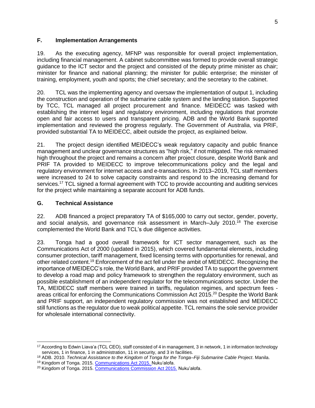#### <span id="page-14-0"></span>**F. Implementation Arrangements**

19. As the executing agency, MFNP was responsible for overall project implementation, including financial management. A cabinet subcommittee was formed to provide overall strategic guidance to the ICT sector and the project and consisted of the deputy prime minister as chair; minister for finance and national planning; the minister for public enterprise; the minister of training, employment, youth and sports; the chief secretary; and the secretary to the cabinet.

20. TCL was the implementing agency and oversaw the implementation of output 1, including the construction and operation of the submarine cable system and the landing station. Supported by TCC, TCL managed all project procurement and finance. MEIDECC was tasked with establishing the internet legal and regulatory environment, including regulations that promote open and fair access to users and transparent pricing. ADB and the World Bank supported implementation and reviewed the progress regularly. The Government of Australia, via PRIF, provided substantial TA to MEIDECC, albeit outside the project, as explained below.

21. The project design identified MEIDECC's weak regulatory capacity and public finance management and unclear governance structures as "high risk," if not mitigated. The risk remained high throughout the project and remains a concern after project closure, despite World Bank and PRIF TA provided to MEIDECC to improve telecommunications policy and the legal and regulatory environment for internet access and e-transactions. In 2013–2019, TCL staff members were increased to 24 to solve capacity constraints and respond to the increasing demand for services.<sup>17</sup> TCL signed a formal agreement with TCC to provide accounting and auditing services for the project while maintaining a separate account for ADB funds.

#### <span id="page-14-1"></span>**G. Technical Assistance**

22. ADB financed a project preparatory TA of \$165,000 to carry out sector, gender, poverty, and social analysis, and governance risk assessment in March–July 2010. <sup>18</sup> The exercise complemented the World Bank and TCL's due diligence activities.

23. Tonga had a good overall framework for ICT sector management, such as the Communications Act of 2000 (updated in 2015), which covered fundamental elements, including consumer protection, tariff management, fixed licensing terms with opportunities for renewal, and other related content.<sup>19</sup> Enforcement of the act fell under the ambit of MEIDECC. Recognizing the importance of MEIDECC's role, the World Bank, and PRIF provided TA to support the government to develop a road map and policy framework to strengthen the regulatory environment, such as possible establishment of an independent regulator for the telecommunications sector. Under the TA, MEIDECC staff members were trained in tariffs, regulation regimes, and spectrum fees areas critical for enforcing the Communications Commission Act 2015.<sup>20</sup> Despite the World Bank and PRIF support, an independent regulatory commission was not established and MEIDECC still functions as the regulator due to weak political appetite. TCL remains the sole service provider for wholesale international connectivity.

<sup>&</sup>lt;sup>17</sup> According to Edwin Liava'a (TCL CEO), staff consisted of 4 in management, 3 in network, 1 in information technology services, 1 in finance, 1 in administration, 11 in security, and 3 in facilities.

<sup>18</sup> ADB. 2010. *Technical Assistance to the Kingdom of Tonga for the Tonga–Fiji Submarine Cable Project*. Manila.

<sup>&</sup>lt;sup>19</sup> Kingdom of Tonga. 2015[. Communications Act 2015.](http://www.gov.to/wp-content/uploads/2017/03/CommunicationsAct2015_1.pdf) Nuku'alofa.

<sup>&</sup>lt;sup>20</sup> Kingdom of Tonga. 2015[. Communications Commission Act 2015.](https://ago.gov.to/cms/images/LEGISLATION/PRINCIPAL/2015/2015-0025/CommunicationsCommissionAct2015_1.pdf) Nuku'alofa.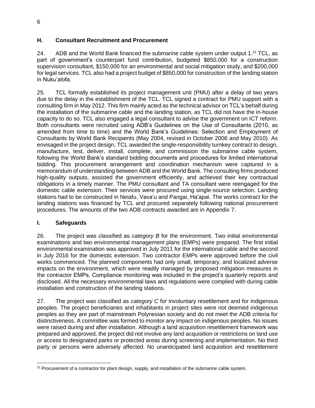#### <span id="page-15-0"></span>**H. Consultant Recruitment and Procurement**

24. ADB and the World Bank financed the submarine cable system under output 1.<sup>21</sup> TCL, as part of government's counterpart fund contribution, budgeted \$850,000 for a construction supervision consultant, \$150,000 for an environmental and social mitigation study, and \$200,000 for legal services. TCL also had a project budget of \$850,000 for construction of the landing station in Nuku'alofa.

25. TCL formally established its project management unit (PMU) after a delay of two years due to the delay in the establishment of the TCL. TCL signed a contract for PMU support with a consulting firm in May 2012. This firm mainly acted as the technical advisor on TCL's behalf during the installation of the submarine cable and the landing station, as TCL did not have the in-house capacity to do so. TCL also engaged a legal consultant to advise the government on ICT reform. Both consultants were recruited using ADB's Guidelines on the Use of Consultants (2010, as amended from time to time) and the World Bank's Guidelines: Selection and Employment of Consultants by World Bank Recipients (May 2004, revised in October 2006 and May 2010). As envisaged in the project design, TCL awarded the single-responsibility turnkey contract to design, manufacture, test, deliver, install, complete, and commission the submarine cable system, following the World Bank's standard bidding documents and procedures for limited international bidding. This procurement arrangement and coordination mechanism were captured in a memorandum of understanding between ADB and the World Bank. The consulting firms produced high-quality outputs, assisted the government efficiently, and achieved their key contractual obligations in a timely manner. The PMU consultant and TA consultant were reengaged for the domestic cable extension. Their services were procured using single-source selection. Landing stations had to be constructed in Neiafu, Vava'u and Pangai, Ha'apai. The works contract for the landing stations was financed by TCL and procured separately following national procurement procedures. The amounts of the two ADB contracts awarded are in Appendix 7.

## <span id="page-15-1"></span>**I. Safeguards**

26. The project was classified as *category B* for the environment. Two initial environmental examinations and two environmental management plans (EMPs) were prepared. The first initial environmental examination was approved in July 2011 for the international cable and the second in July 2016 for the domestic extension. Two contractor EMPs were approved before the civil works commenced. The planned components had only small, temporary, and localized adverse impacts on the environment, which were readily managed by proposed mitigation measures in the contractor EMPs. Compliance monitoring was included in the project's quarterly reports and disclosed. All the necessary environmental laws and regulations were complied with during cable installation and construction of the landing stations.

27. The project was classified as *category C* for involuntary resettlement and for indigenous peoples. The project beneficiaries and inhabitants in project sites were not deemed indigenous peoples as they are part of mainstream Polynesian society and do not meet the ADB criteria for distinctiveness. A committee was formed to monitor any impact on indigenous peoples. No issues were raised during and after installation. Although a land acquisition resettlement framework was prepared and approved, the project did not involve any land acquisition or restrictions on land use or access to designated parks or protected areas during screening and implementation. No third party or persons were adversely affected. No unanticipated land acquisition and resettlement

 $21$  Procurement of a contractor for plant design, supply, and installation of the submarine cable system.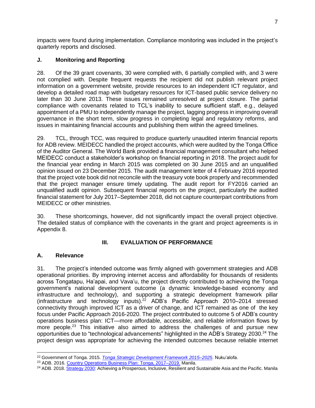impacts were found during implementation. Compliance monitoring was included in the project's quarterly reports and disclosed.

## <span id="page-16-0"></span>**J. Monitoring and Reporting**

28. Of the 39 grant covenants, 30 were complied with, 6 partially complied with, and 3 were not complied with. Despite frequent requests the recipient did not publish relevant project information on a government website, provide resources to an independent ICT regulator, and develop a detailed road map with budgetary resources for ICT-based public service delivery no later than 30 June 2013. These issues remained unresolved at project closure. The partial compliance with covenants related to TCL's inability to secure sufficient staff, e.g., delayed appointment of a PMU to independently manage the project, lagging progress in improving overall governance in the short term, slow progress in completing legal and regulatory reforms, and issues in maintaining financial accounts and publishing them within the agreed timelines.

29. TCL, through TCC, was required to produce quarterly unaudited interim financial reports for ADB review. MEIDECC handled the project accounts, which were audited by the Tonga Office of the Auditor General. The World Bank provided a financial management consultant who helped MEIDECC conduct a stakeholder's workshop on financial reporting in 2018. The project audit for the financial year ending in March 2015 was completed on 30 June 2015 and an unqualified opinion issued on 23 December 2015. The audit management letter of 4 February 2016 reported that the project vote book did not reconcile with the treasury vote book properly and recommended that the project manager ensure timely updating. The audit report for FY2016 carried an unqualified audit opinion. Subsequent financial reports on the project, particularly the audited financial statement for July 2017–September 2018, did not capture counterpart contributions from MEIDECC or other ministries.

30. These shortcomings, however, did not significantly impact the overall project objective. The detailed status of compliance with the covenants in the grant and project agreements is in Appendix 8.

## **III. EVALUATION OF PERFORMANCE**

## <span id="page-16-2"></span><span id="page-16-1"></span>**A. Relevance**

31. The project's intended outcome was firmly aligned with government strategies and ADB operational priorities. By improving internet access and affordability for thousands of residents across Tongatapu, Ha'apai, and Vava'u, the project directly contributed to achieving the Tonga government's national development outcome (a dynamic knowledge-based economy and infrastructure and technology), and supporting a strategic development framework pillar (infrastructure and technology inputs). <sup>22</sup> ADB's Pacific Approach 2010–2014 stressed connectivity through improved ICT as a driver of change, and ICT remained as one of the key focus under Pacific Approach 2016-2020. The project contributed to outcome 5 of ADB's country operations business plan: ICT—more affordable, accessible, and reliable information flows by more people.<sup>23</sup> This initiative also aimed to address the challenges of and pursue new opportunities due to "technological advancements" highlighted in the ADB's Strategy 2030.<sup>24</sup> The project design was appropriate for achieving the intended outcomes because reliable internet

<sup>22</sup> Government of Tonga. 2015. *[Tonga Strategic Development Framework 2015–2025](http://www.finance.gov.to/sites/default/files/2020-02/TSDF%202015-2025-en.pdf)*. Nuku'alofa.

<sup>23</sup> ADB. 2016. [Country Operations Business Plan: Tonga, 2017–2019.](https://www.adb.org/sites/default/files/institutional-document/211566/cobp-ton-2017-2019.pdf) Manila.

<sup>&</sup>lt;sup>24</sup> ADB. 2018[. Strategy 2030:](https://www.adb.org/documents/strategy-2030-prosperous-inclusive-resilient-sustainable-asia-pacific) Achieving a Prosperous, Inclusive, Resilient and Sustainable Asia and the Pacific. Manila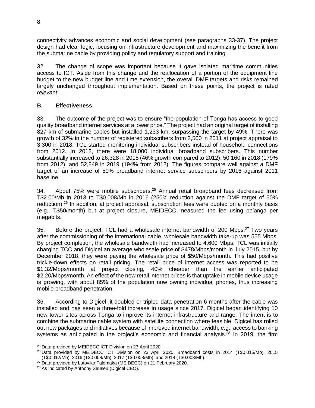connectivity advances economic and social development (see paragraphs 33-37). The project design had clear logic, focusing on infrastructure development and maximizing the benefit from the submarine cable by providing policy and regulatory support and training.

32. The change of scope was important because it gave isolated maritime communities access to ICT. Aside from this change and the reallocation of a portion of the equipment line budget to the new budget line and time extension, the overall DMF targets and risks remained largely unchanged throughout implementation. Based on these points, the project is rated *relevant*.

#### <span id="page-17-0"></span>**B. Effectiveness**

33. The outcome of the project was to ensure "the population of Tonga has access to good quality broadband internet services at a lower price." The project had an original target of installing 827 km of submarine cables but installed 1,233 km, surpassing the target by 49%. There was growth of 32% in the number of registered subscribers from 2,500 in 2011 at project appraisal to 3,300 in 2018. TCL started monitoring individual subscribers instead of household connections from 2012. In 2012, there were 18,000 individual broadband subscribers. This number substantially increased to 26,328 in 2015 (46% growth compared to 2012), 50,160 in 2018 (179% from 2012), and 52,849 in 2019 (194% from 2012). The figures compare well against a DMF target of an increase of 50% broadband internet service subscribers by 2016 against 2011 baseline.

34. About 75% were mobile subscribers.<sup>25</sup> Annual retail broadband fees decreased from T\$2.00/Mb in 2013 to T\$0.008/Mb in 2016 (250% reduction against the DMF target of 50% reduction).<sup>26</sup> In addition, at project appraisal, subscription fees were quoted on a monthly basis (e.g., T\$50/month) but at project closure, MEIDECC measured the fee using pa'anga per megabits.

35. Before the project, TCL had a wholesale internet bandwidth of 200 Mbps.<sup>27</sup> Two years after the commissioning of the international cable, wholesale bandwidth take-up was 555 Mbps. By project completion, the wholesale bandwidth had increased to 4,600 Mbps. TCL was initially charging TCC and Digicel an average wholesale price of \$478/Mbps/month in July 2015, but by December 2018, they were paying the wholesale price of \$50/Mbps/month. This had positive trickle-down effects on retail pricing. The retail price of internet access was reported to be \$1.32/Mbps/month at project closing, 40% cheaper than the earlier anticipated \$2.20/Mbps/month. An effect of the new retail internet prices is that uptake in mobile device usage is growing, with about 85% of the population now owning individual phones, thus increasing mobile broadband penetration.

36. According to Digicel, it doubled or tripled data penetration 6 months after the cable was installed and has seen a three-fold increase in usage since 2017. Digicel began identifying 10 new tower sites across Tonga to improve its internet infrastructure and range. The intent is to combine the submarine cable system with satellite connection where feasible. Digicel has rolled out new packages and initiatives because of improved internet bandwidth, e.g., access to banking systems as anticipated in the project's economic and financial analysis.<sup>28</sup> In 2019, the firm

<sup>&</sup>lt;sup>25</sup> Data provided by MEIDECC ICT Division on 23 April 2020.

<sup>26</sup> Data provided by MEIDECC ICT Division on 23 April 2020. Broadband costs in 2014 (T\$0.015/Mb), 2015 (T\$0.012/Mb), 2016 (T\$0.008/Mb), 2017 (T\$0.008/Mb), and 2018 (T\$0.003/Mb).

 $27$  Data provided by Lutoviko Falemaka (MEIDECC) on 21 February 2020.

<sup>28</sup> As indicated by Anthony Seuseu (Digicel CEO).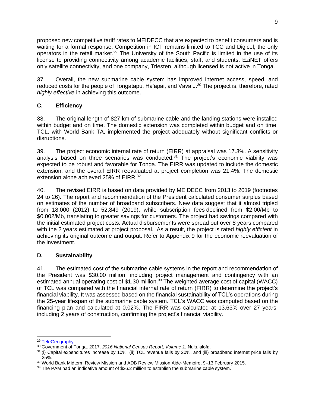proposed new competitive tariff rates to MEIDECC that are expected to benefit consumers and is waiting for a formal response. Competition in ICT remains limited to TCC and Digicel, the only operators in the retail market.<sup>29</sup> The University of the South Pacific is limited in the use of its license to providing connectivity among academic facilities, staff, and students. EziNET offers only satellite connectivity, and one company, Triesten, although licensed is not active in Tonga.

37. Overall, the new submarine cable system has improved internet access, speed, and reduced costs for the people of Tongatapu, Ha'apai, and Vava'u.<sup>30</sup> The project is, therefore, rated *highly effective* in achieving this outcome.

#### <span id="page-18-0"></span>**C. Efficiency**

38. The original length of 827 km of submarine cable and the landing stations were installed within budget and on time. The domestic extension was completed within budget and on time. TCL, with World Bank TA, implemented the project adequately without significant conflicts or disruptions.

39. The project economic internal rate of return (EIRR) at appraisal was 17.3%. A sensitivity analysis based on three scenarios was conducted.<sup>31</sup> The project's economic viability was expected to be robust and favorable for Tonga. The EIRR was updated to include the domestic extension, and the overall EIRR reevaluated at project completion was 21.4%. The domestic extension alone achieved 25% of EIRR.<sup>32</sup>

40. The revised EIRR is based on data provided by MEIDECC from 2013 to 2019 (footnotes 24 to 26). The report and recommendation of the President calculated consumer surplus based on estimates of the number of broadband subscribers. New data suggest that it almost tripled from 18,000 (2012) to 52,849 (2019), while subscription fees declined from \$2.00/Mb to \$0.002/Mb, translating to greater savings for customers. The project had savings compared with the initial estimated project costs. Actual disbursements were spread out over 8 years compared with the 2 years estimated at project proposal. As a result, the project is rated *highly efficient* in achieving its original outcome and output. Refer to Appendix 9 for the economic reevaluation of the investment.

## <span id="page-18-1"></span>**D. Sustainability**

41. The estimated cost of the submarine cable systems in the report and recommendation of the President was \$30.00 million, including project management and contingency with an estimated annual operating cost of \$1.30 million.<sup>33</sup> The weighted average cost of capital (WACC) of TCL was compared with the financial internal rate of return (FIRR) to determine the project's financial viability. It was assessed based on the financial sustainability of TCL's operations during the 25-year lifespan of the submarine cable system. TCL's WACC was computed based on the financing plan and calculated at 0.02%. The FIRR was calculated at 13.63% over 27 years, including 2 years of construction, confirming the project's financial viability.

<sup>29</sup> [TeleGeography.](http://www.telegeography.com/)

<sup>30</sup> Government of Tonga. 2017. *2016 National Census Report, Volume 1.* Nuku'alofa.

 $31$  (i) Capital expenditures increase by 10%, (ii) TCL revenue falls by 20%, and (iii) broadband internet price falls by 25%.

<sup>32</sup> World Bank Midterm Review Mission and ADB Review Mission Aide-Memoire, 9–13 February 2015.

<sup>&</sup>lt;sup>33</sup> The PAM had an indicative amount of \$26.2 million to establish the submarine cable system.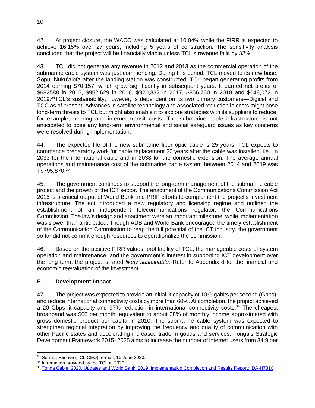42. At project closure, the WACC was calculated at 10.04% while the FIRR is expected to achieve 16.15% over 27 years, including 5 years of construction. The sensitivity analysis concluded that the project will be financially viable unless TCL's revenue falls by 32%.

43. TCL did not generate any revenue in 2012 and 2013 as the commercial operation of the submarine cable system was just commencing. During this period, TCL moved to its new base, Sopu, Nuku'alofa after the landing station was constructed. TCL began generating profits from 2014 earning \$70,157, which grew significantly in subsequent years. It earned net profits of \$682588 in 2015, \$952,629 in 2016, \$920,332 in 2017, \$856,760 in 2018 and \$648,072 in 2019.<sup>34</sup>TCL's sustainability, however, is dependent on its two primary customers—Digicel and TCC as of present. Advances in satellite technology and associated reduction in costs might pose long-term threats to TCL but might also enable it to explore strategies with its suppliers to reduce, for example, peering and internet transit costs. The submarine cable infrastructure is not anticipated to pose any long-term environmental and social safeguard issues as key concerns were resolved during implementation.

44. The expected life of the new submarine fiber optic cable is 25 years. TCL expects to commence preparatory work for cable replacement 20 years after the cable was installed, i.e., in 2033 for the international cable and in 2038 for the domestic extension. The average annual operations and maintenance cost of the submarine cable system between 2014 and 2019 was T\$795,870.<sup>35</sup>

45. The government continues to support the long-term management of the submarine cable project and the growth of the ICT sector. The enactment of the Communications Commission Act 2015 is a critical output of World Bank and PRIF efforts to complement the project's investment infrastructure. The act introduced a new regulatory and licensing regime and outlined the establishment of an independent telecommunications regulator, the Communications Commission. The law's design and enactment were an important milestone, while implementation was slower than anticipated. Though ADB and World Bank encouraged the timely establishment of the Communication Commission to reap the full potential of the ICT industry, the government so far did not commit enough resources to operationalize the commission.

46. Based on the positive FIRR values, profitability of TCL, the manageable costs of system operation and maintenance, and the government's interest in supporting ICT development over the long term, the project is rated *likely sustainable.* Refer to Appendix 8 for the financial and economic reevaluation of the investment.

## <span id="page-19-0"></span>**E. Development Impact**

47. The project was expected to provide an initial lit capacity of 10 Gigabits per second (Gbps). and reduce international connectivity costs by more than 60%. At completion, the project achieved a 20 Gbps lit capacity and 97% reduction in international connectivity costs.<sup>36</sup> The cheapest broadband was \$60 per month, equivalent to about 28% of monthly income approximated with gross domestic product per capita in 2010. The submarine cable system was expected to strengthen regional integration by improving the frequency and quality of communication with other Pacific states and accelerating increased trade in goods and services. Tonga's Strategic Development Framework 2015–2025 aims to increase the number of internet users from 34.9 per

<sup>34</sup> Semisi. Panuve (TCL CEO), e-mail, 16 June 2020.

<sup>&</sup>lt;sup>35</sup> Information provided by the TCL in 2020.

<sup>36</sup> Tonga Cable. 2020. Updates and World Bank. [2019. Implementation Completion and Results Report: IDA](http://www.tongacable.net/)‐H7310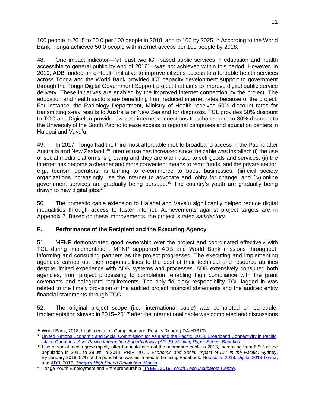100 people in 2015 to 60.0 per 100 people in 2018, and to 100 by 2025.<sup>37</sup> According to the World Bank, Tonga achieved 50.0 people with internet access per 100 people by 2018.

48. One impact indicator—"at least two ICT-based public services in education and health accessible to general public by end of 2016"*—*was not achieved within this period. However, in 2019, ADB funded an e-Health initiative to improve citizens access to affordable health services across Tonga and the World Bank provided ICT capacity development support to government through the Tonga Digital Government Support project that aims to improve digital public service delivery. These initiatives are enabled by the improved internet connection by the project. The education and health sectors are benefitting from reduced internet rates because of the project. For instance, the Radiology Department, Ministry of Health receives 50% discount rates for transmitting x-ray results to Australia or New Zealand for diagnosis. TCL provides 50% discount to TCC and Digicel to provide low-cost internet connections to schools and an 80% discount to the University of the South Pacific to ease access to regional campuses and education centers in Ha'apai and Vava'u.

49. In 2017, Tonga had the third most affordable mobile broadband access in the Pacific after Australia and New Zealand.<sup>38</sup> Internet use has increased since the cable was installed: (i) the use of social media platforms is growing and they are often used to sell goods and services; (ii) the internet has become a cheaper and more convenient means to remit funds, and the private sector, e.g., tourism operators, is turning to e-commerce to boost businesses; (iii) civil society organizations increasingly use the internet to advocate and lobby for change; and (iv) online government services are gradually being pursued.<sup>39</sup> The country's youth are gradually being drawn to new digital jobs.<sup>40</sup>

50. The domestic cable extension to Ha'apai and Vava'u significantly helped reduce digital inequalities through access to faster internet. Achievements against project targets are in Appendix 2. Based on these improvements, the project is rated *satisfactory*.

# <span id="page-20-0"></span>**F. Performance of the Recipient and the Executing Agency**

51. MFNP demonstrated good ownership over the project and coordinated effectively with TCL during implementation. MFNP supported ADB and World Bank missions throughout, informing and consulting partners as the project progressed. The executing and implementing agencies carried out their responsibilities to the best of their technical and resource abilities despite limited experience with ADB systems and processes. ADB extensively consulted both agencies, from project processing to completion, enabling high compliance with the grant covenants and safeguard requirements. The only fiduciary responsibility TCL lagged in was related to the timely provision of the audited project financial statements and the audited entity financial statements through TCC.

52. The original project scope (i.e., international cable) was completed on schedule. Implementation slowed in 2015–2017 after the international cable was completed and discussions

<sup>37</sup> World Bank, 2018, Implementation Completion and Results Report (IDA-H7310).

<sup>38</sup> United Nations Economic and Social Commission for Asia and the Pacific. 2018. Broadband Connectivity in Pacific island Countries. [Asia-Pacific Information Superhighway \(AP-IS\) Working Paper Series.](https://www.unescap.org/resources/broadband-connectivity-pacific-island-countries) Bangkok.

<sup>&</sup>lt;sup>39</sup> Use of social media grew rapidly after the installation of the submarine cable in 2013, increasing from 6.5% of the population in 2011 to 29.0% in 2014. PRIF. 2015. *Economic and Social Impact of ICT in the Pacific*. Sydney. By January 2018, 57% of the population was estimated to be using Facebook. [Hootsuite. 2018. Digital 2018 Tonga;](https://www.slideshare.net/DataReportal/digital-2018-tonga-january-2018) and ADB. 2016. *[Tonga's High-Speed Revolution](https://www.adb.org/results/tonga-s-high-speed-revolution)*. Manila.

<sup>40</sup> Tonga Youth Employment and Entrepreneurship (TYEE). 2019. *[Youth Tech Incubators Centre](https://www.tyeetonga.org/youth-tech-incubators-centre-ytic)*.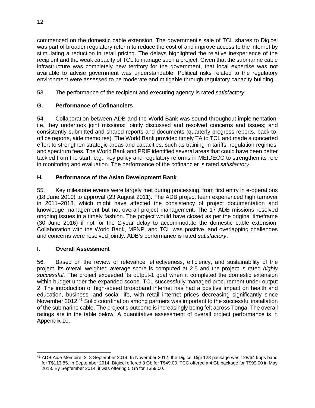commenced on the domestic cable extension. The government's sale of TCL shares to Digicel was part of broader regulatory reform to reduce the cost of and improve access to the internet by stimulating a reduction in retail pricing. The delays highlighted the relative inexperience of the recipient and the weak capacity of TCL to manage such a project. Given that the submarine cable infrastructure was completely new territory for the government, that local expertise was not available to advise government was understandable. Political risks related to the regulatory environment were assessed to be moderate and mitigable through regulatory capacity building.

53. The performance of the recipient and executing agency is rated *satisfactory*.

## <span id="page-21-0"></span>**G. Performance of Cofinanciers**

54. Collaboration between ADB and the World Bank was sound throughout implementation, i.e. they undertook joint missions; jointly discussed and resolved concerns and issues; and consistently submitted and shared reports and documents (quarterly progress reports, back-tooffice reports, aide memoires). The World Bank provided timely TA to TCL and made a concerted effort to strengthen strategic areas and capacities, such as training in tariffs, regulation regimes, and spectrum fees. The World Bank and PRIF identified several areas that could have been better tackled from the start, e.g., key policy and regulatory reforms in MEIDECC to strengthen its role in monitoring and evaluation. The performance of the cofinancier is rated *satisfactory*.

## <span id="page-21-1"></span>**H. Performance of the Asian Development Bank**

55. Key milestone events were largely met during processing, from first entry in e-operations (18 June 2010) to approval (23 August 2011). The ADB project team experienced high turnover in 2011–2018, which might have affected the consistency of project documentation and knowledge management but not overall project management. The 17 ADB missions resolved ongoing issues in a timely fashion. The project would have closed as per the original timeframe (30 June 2016) if not for the 2-year delay to accommodate the domestic cable extension. Collaboration with the World Bank, MFNP, and TCL was positive, and overlapping challenges and concerns were resolved jointly. ADB's performance is rated *satisfactory*.

## <span id="page-21-2"></span>**I. Overall Assessment**

56. Based on the review of relevance, effectiveness, efficiency, and sustainability of the project, its overall weighted average score is computed at 2.5 and the project is rated *highly successful*. The project exceeded its output-1 goal when it completed the domestic extension within budget under the expanded scope. TCL successfully managed procurement under output 2. The introduction of high-speed broadband internet has had a positive impact on health and education, business, and social life, with retail internet prices decreasing significantly since November 2012.<sup>41</sup> Solid coordination among partners was important to the successful installation of the submarine cable. The project's outcome is increasingly being felt across Tonga. The overall ratings are in the table below. A quantitative assessment of overall project performance is in Appendix 10.

<sup>41</sup> ADB Aide Memoire, 2–8 September 2014. In November 2012, the Digicel Digi 128 package was 128/64 kbps band for T\$113.85. In September 2014, Digicel offered 3 Gb for T\$49.00. TCC offered a 4 Gb package for T\$99.00 in May 2013. By September 2014, it was offering 5 Gb for T\$59.00.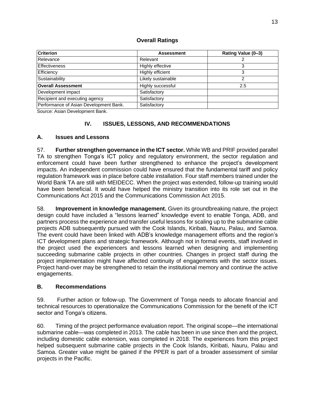| Criterion                              | <b>Assessment</b>  | Rating Value (0-3) |
|----------------------------------------|--------------------|--------------------|
| Relevance                              | Relevant           |                    |
| <b>Effectiveness</b>                   | Highly effective   |                    |
| Efficiency                             | Highly efficient   | 3                  |
| Sustainability                         | Likely sustainable | ົ                  |
| <b>Overall Assessment</b>              | Highly successful  | 2.5                |
| Development impact                     | Satisfactory       |                    |
| Recipient and executing agency         | Satisfactory       |                    |
| Performance of Asian Development Bank. | Satisfactory       |                    |
|                                        |                    |                    |

#### **Overall Ratings**

<span id="page-22-0"></span>Source: Asian Development Bank.

#### **IV. ISSUES, LESSONS, AND RECOMMENDATIONS**

#### <span id="page-22-1"></span>**A. Issues and Lessons**

57. **Further strengthen governance in the ICT sector.** While WB and PRIF provided parallel TA to strengthen Tonga's ICT policy and regulatory environment, the sector regulation and enforcement could have been further strengthened to enhance the project's development impacts. An independent commission could have ensured that the fundamental tariff and policy regulation framework was in place before cable installation. Four staff members trained under the World Bank TA are still with MEIDECC. When the project was extended, follow-up training would have been beneficial. It would have helped the ministry transition into its role set out in the Communications Act 2015 and the Communications Commission Act 2015.

58. **Improvement in knowledge management.** Given its groundbreaking nature, the project design could have included a "lessons learned" knowledge event to enable Tonga, ADB, and partners process the experience and transfer useful lessons for scaling up to the submarine cable projects ADB subsequently pursued with the Cook Islands, Kiribati, Nauru, Palau, and Samoa. The event could have been linked with ADB's knowledge management efforts and the region's ICT development plans and strategic framework. Although not in formal events, staff involved in the project used the experiencers and lessons learned when designing and implementing succeeding submarine cable projects in other countries. Changes in project staff during the project implementation might have affected continuity of engagements with the sector issues. Project hand-over may be strengthened to retain the institutional memory and continue the active engagements.

#### <span id="page-22-2"></span>**B. Recommendations**

59. Further action or follow-up. The Government of Tonga needs to allocate financial and technical resources to operationalize the Communications Commission for the benefit of the ICT sector and Tonga's citizens.

60. Timing of the project performance evaluation report. The original scope—the international submarine cable—was completed in 2013. The cable has been in use since then and the project, including domestic cable extension, was completed in 2018. The experiences from this project helped subsequent submarine cable projects in the Cook Islands, Kiribati, Nauru, Palau and Samoa. Greater value might be gained if the PPER is part of a broader assessment of similar projects in the Pacific.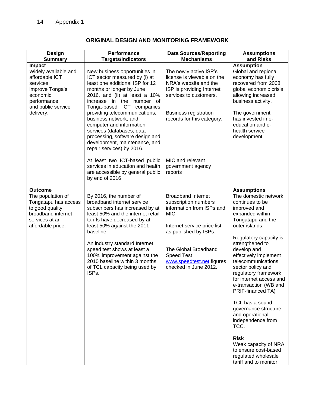<span id="page-23-0"></span>

| <b>Design</b><br><b>Summary</b>                                                                                                               | Performance<br><b>Targets/Indicators</b>                                                                                                                                                                                                                                                                                                                                                                                                     | <b>Data Sources/Reporting</b><br><b>Mechanisms</b>                                                                                                                                                                                                      | <b>Assumptions</b><br>and Risks                                                                                                                                                                                                                                                                                                                                                                                                                                                                                                                           |
|-----------------------------------------------------------------------------------------------------------------------------------------------|----------------------------------------------------------------------------------------------------------------------------------------------------------------------------------------------------------------------------------------------------------------------------------------------------------------------------------------------------------------------------------------------------------------------------------------------|---------------------------------------------------------------------------------------------------------------------------------------------------------------------------------------------------------------------------------------------------------|-----------------------------------------------------------------------------------------------------------------------------------------------------------------------------------------------------------------------------------------------------------------------------------------------------------------------------------------------------------------------------------------------------------------------------------------------------------------------------------------------------------------------------------------------------------|
| Impact<br>Widely available and<br>affordable ICT<br>services<br>improve Tonga's<br>economic<br>performance<br>and public service<br>delivery. | New business opportunities in<br>ICT sector measured by (i) at<br>least one additional ISP for 12<br>months or longer by June<br>2016, and (ii) at least a 10%<br>increase in the number of<br>Tonga-based ICT companies<br>providing telecommunications,<br>business network, and<br>computer and information<br>services (databases, data<br>processing, software design and<br>development, maintenance, and<br>repair services) by 2016. | The newly active ISP's<br>license is viewable on the<br>NRA's website and the<br>ISP is providing Internet<br>services to customers.<br><b>Business registration</b><br>records for this category.                                                      | <b>Assumption</b><br>Global and regional<br>economy has fully<br>recovered from 2008<br>global economic crisis<br>allowing increased<br>business activity.<br>The government<br>has invested in e-<br>education and e-<br>health service<br>development.                                                                                                                                                                                                                                                                                                  |
|                                                                                                                                               | At least two ICT-based public<br>services in education and health<br>are accessible by general public<br>by end of 2016.                                                                                                                                                                                                                                                                                                                     | MIC and relevant<br>government agency<br>reports                                                                                                                                                                                                        |                                                                                                                                                                                                                                                                                                                                                                                                                                                                                                                                                           |
| <b>Outcome</b><br>The population of<br>Tongatapu has access<br>to good quality<br>broadband internet<br>services at an<br>affordable price.   | By 2016, the number of<br>broadband internet service<br>subscribers has increased by at<br>least 50% and the internet retail<br>tariffs have decreased by at<br>least 50% against the 2011<br>baseline.<br>An industry standard Internet<br>speed test shows at least a<br>100% improvement against the<br>2010 baseline within 3 months<br>of TCL capacity being used by<br>ISPs.                                                           | <b>Broadband Internet</b><br>subscription numbers<br>information from ISPs and<br><b>MIC</b><br>Internet service price list<br>as published by ISPs.<br>The Global Broadband<br><b>Speed Test</b><br>www.speedtest.net figures<br>checked in June 2012. | <b>Assumptions</b><br>The domestic network<br>continues to be<br>improved and<br>expanded within<br>Tongatapu and the<br>outer islands.<br>Regulatory capacity is<br>strengthened to<br>develop and<br>effectively implement<br>telecommunications<br>sector policy and<br>regulatory framework<br>for internet access and<br>e-transaction (WB and<br>PRIF-financed TA)<br>TCL has a sound<br>governance structure<br>and operational<br>independence from<br>TCC.<br><b>Risk</b><br>Weak capacity of NRA<br>to ensure cost-based<br>regulated wholesale |

## **ORIGINAL DESIGN AND MONITORING FRAMEWORK**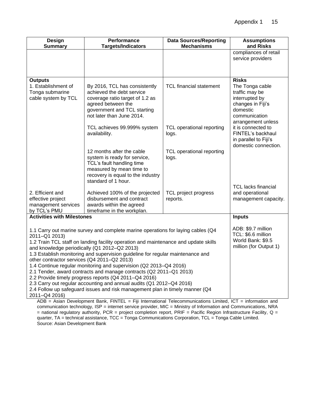| <b>Design</b><br><b>Summary</b>                                                                                                                                                                                                                                                                                                                                           | Performance<br><b>Targets/Indicators</b>                                                                                                                                                                                                                                                                                                                 | <b>Data Sources/Reporting</b><br><b>Mechanisms</b> | <b>Assumptions</b><br>and Risks                                                                                             |
|---------------------------------------------------------------------------------------------------------------------------------------------------------------------------------------------------------------------------------------------------------------------------------------------------------------------------------------------------------------------------|----------------------------------------------------------------------------------------------------------------------------------------------------------------------------------------------------------------------------------------------------------------------------------------------------------------------------------------------------------|----------------------------------------------------|-----------------------------------------------------------------------------------------------------------------------------|
|                                                                                                                                                                                                                                                                                                                                                                           |                                                                                                                                                                                                                                                                                                                                                          |                                                    | compliances of retail<br>service providers                                                                                  |
| <b>Outputs</b>                                                                                                                                                                                                                                                                                                                                                            |                                                                                                                                                                                                                                                                                                                                                          |                                                    | <b>Risks</b>                                                                                                                |
| 1. Establishment of<br>Tonga submarine<br>cable system by TCL                                                                                                                                                                                                                                                                                                             | By 2016, TCL has consistently<br>achieved the debt service<br>coverage ratio target of 1.2 as<br>agreed between the<br>government and TCL starting<br>not later than June 2014.                                                                                                                                                                          | <b>TCL financial statement</b>                     | The Tonga cable<br>traffic may be<br>interrupted by<br>changes in Fiji's<br>domestic<br>communication<br>arrangement unless |
|                                                                                                                                                                                                                                                                                                                                                                           | TCL achieves 99.999% system<br>availability.                                                                                                                                                                                                                                                                                                             | <b>TCL operational reporting</b><br>logs.          | it is connected to<br>FINTEL's backhaul<br>in parallel to Fiji's<br>domestic connection.                                    |
|                                                                                                                                                                                                                                                                                                                                                                           | 12 months after the cable<br>system is ready for service,<br>TCL's fault handling time<br>measured by mean time to<br>recovery is equal to the industry<br>standard of 1 hour.                                                                                                                                                                           | TCL operational reporting<br>logs.                 |                                                                                                                             |
| 2. Efficient and<br>effective project<br>management services<br>by TCL's PMU                                                                                                                                                                                                                                                                                              | Achieved 100% of the projected<br>disbursement and contract<br>awards within the agreed<br>timeframe in the workplan.                                                                                                                                                                                                                                    | <b>TCL project progress</b><br>reports.            | TCL lacks financial<br>and operational<br>management capacity.                                                              |
| <b>Activities with Milestones</b>                                                                                                                                                                                                                                                                                                                                         |                                                                                                                                                                                                                                                                                                                                                          |                                                    | <b>Inputs</b>                                                                                                               |
| 1.1 Carry out marine survey and complete marine operations for laying cables (Q4<br>2011-Q1 2013)<br>1.2 Train TCL staff on landing facility operation and maintenance and update skills<br>and knowledge periodically (Q1 2012-Q2 2013)<br>1.3 Establish monitoring and supervision guideline for regular maintenance and<br>other contractor services (Q4 2011-Q2 2013) |                                                                                                                                                                                                                                                                                                                                                          |                                                    | ADB: \$9.7 million<br>TCL: \$6.6 million<br>World Bank: \$9.5<br>million (for Output 1)                                     |
| 2011-Q4 2016)                                                                                                                                                                                                                                                                                                                                                             | 1.4 Continue regular monitoring and supervision (Q2 2013-Q4 2016)<br>2.1 Tender, award contracts and manage contracts (Q2 2011-Q1 2013)<br>2.2 Provide timely progress reports (Q4 2011-Q4 2016)<br>2.3 Carry out regular accounting and annual audits (Q1 2012-Q4 2016)<br>2.4 Follow up safeguard issues and risk management plan in timely manner (Q4 |                                                    |                                                                                                                             |

ADB = Asian Development Bank, FINTEL = Fiji International Telecommunications Limited, ICT = information and communication technology, ISP = internet service provider, MIC = Ministry of Information and Communications, NRA  $=$  national regulatory authority, PCR = project completion report, PRIF = Pacific Region Infrastructure Facility, Q = quarter, TA = technical assistance, TCC = Tonga Communications Corporation, TCL = Tonga Cable Limited. Source: Asian Development Bank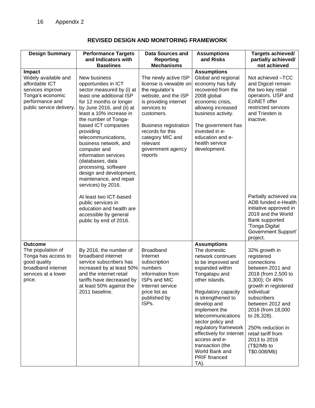|  | <b>REVISED DESIGN AND MONITORING FRAMEWORK</b> |  |
|--|------------------------------------------------|--|
|--|------------------------------------------------|--|

<span id="page-25-0"></span>

| <b>Design Summary</b>                                                                                                                   | <b>Performance Targets</b><br>and Indicators with<br><b>Baselines</b>                                                                                                                                                                                                                                                                                                                                                                                        | <b>Data Sources and</b><br><b>Reporting</b><br><b>Mechanisms</b>                                                                                                                                                                                                    | <b>Assumptions</b><br>and Risks                                                                                                                                                                                                                                                                                                                                                                 | Targets achieved/<br>partially achieved/<br>not achieved                                                                                                                                                                                                                                                       |
|-----------------------------------------------------------------------------------------------------------------------------------------|--------------------------------------------------------------------------------------------------------------------------------------------------------------------------------------------------------------------------------------------------------------------------------------------------------------------------------------------------------------------------------------------------------------------------------------------------------------|---------------------------------------------------------------------------------------------------------------------------------------------------------------------------------------------------------------------------------------------------------------------|-------------------------------------------------------------------------------------------------------------------------------------------------------------------------------------------------------------------------------------------------------------------------------------------------------------------------------------------------------------------------------------------------|----------------------------------------------------------------------------------------------------------------------------------------------------------------------------------------------------------------------------------------------------------------------------------------------------------------|
| Impact<br>Widely available and<br>affordable ICT<br>services improve<br>Tonga's economic<br>performance and<br>public service delivery. | New business<br>opportunities in ICT<br>sector measured by (i) at<br>least one additional ISP<br>for 12 months or longer<br>by June 2016, and (ii) at<br>least a 10% increase in<br>the number of Tonga-<br>based ICT companies<br>providing<br>telecommunications,<br>business network, and<br>computer and<br>information services<br>(databases, data<br>processing, software<br>design and development,<br>maintenance, and repair<br>services) by 2016. | The newly active ISP<br>license is viewable on<br>the regulator's<br>website, and the ISP<br>is providing internet<br>services to<br>customers.<br><b>Business registration</b><br>records for this<br>category MIC and<br>relevant<br>government agency<br>reports | <b>Assumptions</b><br>Global and regional<br>economy has fully<br>recovered from the<br>2008 global<br>economic crisis,<br>allowing increased<br>business activity.<br>The government has<br>invested in e-<br>education and e-<br>health service<br>development.                                                                                                                               | Not achieved -TCC<br>and Digicel remain<br>the two key retail<br>operators. USP and<br>EziNET offer<br>restricted services<br>and Triesten is<br>inactive.                                                                                                                                                     |
|                                                                                                                                         | At least two ICT-based<br>public services in<br>education and health are<br>accessible by general<br>public by end of 2016.                                                                                                                                                                                                                                                                                                                                  |                                                                                                                                                                                                                                                                     |                                                                                                                                                                                                                                                                                                                                                                                                 | Partially achieved via<br>ADB funded e-Health<br>initiative approved in<br>2019 and the World<br>Bank supported<br>'Tonga Digital<br>Government Support'<br>project.                                                                                                                                           |
| Outcome<br>The population of<br>Tonga has access to<br>good quality<br>broadband internet<br>services at a lower<br>price.              | By 2016, the number of<br>broadband internet<br>service subscribers has<br>increased by at least 50%<br>and the internet retail<br>tariffs have decreased by<br>at least 50% against the<br>2011 baseline.                                                                                                                                                                                                                                                   | Broadband<br>Internet<br>subscription<br>numbers<br>information from<br>ISPs and MIC<br>Internet service<br>price list as<br>published by<br>ISPs.                                                                                                                  | <b>Assumptions</b><br>The domestic<br>network continues<br>to be improved and<br>expanded within<br>Tongatapu and<br>other islands.<br>Regulatory capacity<br>is strengthened to<br>develop and<br>implement the<br>telecommunications<br>sector policy and<br>regulatory framework<br>effectively for internet<br>access and e-<br>transaction (the<br>World Bank and<br>PRIF financed<br>TA). | 32% growth in<br>registered<br>connections<br>between 2011 and<br>2018 (from 2,500 to<br>3,300); Or 46%<br>growth in registered<br>individual<br>subscribers<br>between 2012 and<br>2016 (from 18,000<br>to 26,328).<br>250% reduction in<br>retail tariff from<br>2013 to 2016<br>(T\$2/Mb to<br>T\$0.008/Mb) |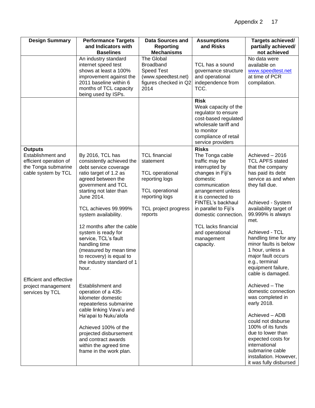| <b>Design Summary</b>                                                                                       | <b>Performance Targets</b><br>and Indicators with<br><b>Baselines</b>                                                                                                                                                                                                                                                                                                                                                           | <b>Data Sources and</b><br><b>Reporting</b><br><b>Mechanisms</b>                                                                                             | <b>Assumptions</b><br>and Risks                                                                                                                                                                                                                                                                                     | Targets achieved/<br>partially achieved/<br>not achieved                                                                                                                                                                                                                                                                                                                           |
|-------------------------------------------------------------------------------------------------------------|---------------------------------------------------------------------------------------------------------------------------------------------------------------------------------------------------------------------------------------------------------------------------------------------------------------------------------------------------------------------------------------------------------------------------------|--------------------------------------------------------------------------------------------------------------------------------------------------------------|---------------------------------------------------------------------------------------------------------------------------------------------------------------------------------------------------------------------------------------------------------------------------------------------------------------------|------------------------------------------------------------------------------------------------------------------------------------------------------------------------------------------------------------------------------------------------------------------------------------------------------------------------------------------------------------------------------------|
|                                                                                                             | An industry standard<br>internet speed test<br>shows at least a 100%<br>improvement against the<br>2011 baseline within 6<br>months of TCL capacity<br>being used by ISPs.                                                                                                                                                                                                                                                      | The Global<br>Broadband<br><b>Speed Test</b><br>(www.speedtest.net)<br>figures checked in Q2<br>2014                                                         | TCL has a sound<br>governance structure<br>and operational<br>independence from<br>TCC.                                                                                                                                                                                                                             | No data were<br>available on<br>www.speedtest.net<br>at time of PCR<br>compilation.                                                                                                                                                                                                                                                                                                |
|                                                                                                             |                                                                                                                                                                                                                                                                                                                                                                                                                                 |                                                                                                                                                              | <b>Risk</b><br>Weak capacity of the<br>regulator to ensure<br>cost-based regulated<br>wholesale tariff and<br>to monitor<br>compliance of retail<br>service providers                                                                                                                                               |                                                                                                                                                                                                                                                                                                                                                                                    |
| <b>Outputs</b><br>Establishment and<br>efficient operation of<br>the Tonga submarine<br>cable system by TCL | By 2016, TCL has<br>consistently achieved the<br>debt service coverage<br>ratio target of 1.2 as<br>agreed between the<br>government and TCL<br>starting not later than<br>June 2014.<br>TCL achieves 99.999%<br>system availability.<br>12 months after the cable<br>system is ready for<br>service, TCL's fault<br>handling time<br>(measured by mean time<br>to recovery) is equal to<br>the industry standard of 1<br>hour. | <b>TCL</b> financial<br>statement<br><b>TCL</b> operational<br>reporting logs<br><b>TCL operational</b><br>reporting logs<br>TCL project progress<br>reports | <b>Risks</b><br>The Tonga cable<br>traffic may be<br>interrupted by<br>changes in Fiji's<br>domestic<br>communication<br>arrangement unless<br>it is connected to<br>FINTEL's backhaul<br>in parallel to Fiji's<br>domestic connection.<br><b>TCL lacks financial</b><br>and operational<br>management<br>capacity. | Achieved - 2016<br><b>TCL APFS stated</b><br>that the company<br>has paid its debt<br>service as and when<br>they fall due.<br>Achieved - System<br>availability target of<br>99.999% is always<br>met.<br>Achieved - TCL<br>handling time for any<br>minor faults is below<br>1 hour, unless a<br>major fault occurs<br>e.g., terminal<br>equipment failure,<br>cable is damaged. |
| <b>Efficient and effective</b><br>project management<br>services by TCL                                     | Establishment and<br>operation of a 435-<br>kilometer domestic<br>repeaterless submarine<br>cable linking Vava'u and<br>Ha'apai to Nuku'alofa<br>Achieved 100% of the<br>projected disbursement<br>and contract awards<br>within the agreed time<br>frame in the work plan.                                                                                                                                                     |                                                                                                                                                              |                                                                                                                                                                                                                                                                                                                     | Achieved - The<br>domestic connection<br>was completed in<br>early 2018.<br>Achieved - ADB<br>could not disburse<br>100% of its funds<br>due to lower than<br>expected costs for<br>international<br>submarine cable<br>installation. However,<br>it was fully disbursed                                                                                                           |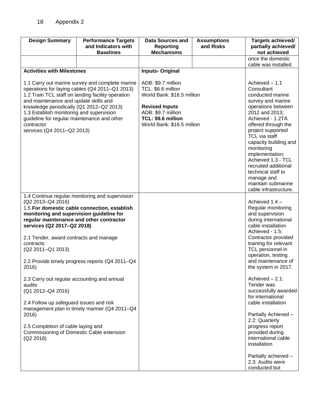| <b>Design Summary</b>                                                                                                                                                                                                                                                                                                                                                              | <b>Performance Targets</b><br>and Indicators with<br><b>Baselines</b> | <b>Data Sources and</b><br>Reporting<br><b>Mechanisms</b>                                                                                                                 | <b>Assumptions</b><br>and Risks | Targets achieved/<br>partially achieved/<br>not achieved                                                                                                                                                                                                                                                                                                                                  |
|------------------------------------------------------------------------------------------------------------------------------------------------------------------------------------------------------------------------------------------------------------------------------------------------------------------------------------------------------------------------------------|-----------------------------------------------------------------------|---------------------------------------------------------------------------------------------------------------------------------------------------------------------------|---------------------------------|-------------------------------------------------------------------------------------------------------------------------------------------------------------------------------------------------------------------------------------------------------------------------------------------------------------------------------------------------------------------------------------------|
|                                                                                                                                                                                                                                                                                                                                                                                    |                                                                       |                                                                                                                                                                           |                                 | once the domestic<br>cable was installed.                                                                                                                                                                                                                                                                                                                                                 |
| <b>Activities with Milestones</b>                                                                                                                                                                                                                                                                                                                                                  |                                                                       | <b>Inputs-Original</b>                                                                                                                                                    |                                 |                                                                                                                                                                                                                                                                                                                                                                                           |
| 1.1 Carry out marine survey and complete marine<br>operations for laying cables (Q4 2011-Q1 2013)<br>1.2 Train TCL staff on landing facility operation<br>and maintenance and update skills and<br>knowledge periodically (Q1 2012-Q2 2013)<br>1.3 Establish monitoring and supervision<br>guideline for regular maintenance and other<br>contractor<br>services (Q4 2011-Q2 2013) |                                                                       | ADB: \$9.7 million<br>TCL: \$6.6 million<br>World Bank: \$16.5 million<br><b>Revised Inputs</b><br>ADB: \$9.7 million<br>TCL: \$9.6 million<br>World Bank: \$16.5 million |                                 | Achieved - 1.1<br>Consultant<br>conducted marine<br>survey and marine<br>operations between<br>2012 and 2013;<br>Achieved - 1.2TA<br>offered through the<br>project supported<br>TCL via staff<br>capacity building and<br>monitoring<br>implementation;<br>Achieved 1.3 - TCL<br>recruited additional<br>technical staff to<br>manage and<br>maintain submarine<br>cable infrastructure. |
| 1.4 Continue regular monitoring and supervision<br>(Q2 2013-Q4 2016)<br>1.5 For domestic cable connection, establish<br>monitoring and supervision guideline for<br>regular maintenance and other contractor<br>services (Q2 2017-Q2 2018)                                                                                                                                         |                                                                       |                                                                                                                                                                           |                                 | Achieved 1.4 -<br>Regular monitoring<br>and supervision<br>during international<br>cable installation<br>Achieved - 1.5:                                                                                                                                                                                                                                                                  |
| 2.1 Tender, award contracts and manage<br>contracts<br>(Q2 2011-Q1 2013)                                                                                                                                                                                                                                                                                                           |                                                                       |                                                                                                                                                                           |                                 | Contractor provided<br>training for relevant<br>TCL personnel in                                                                                                                                                                                                                                                                                                                          |
| 2016)                                                                                                                                                                                                                                                                                                                                                                              | 2.2 Provide timely progress reports (Q4 2011-Q4                       |                                                                                                                                                                           |                                 | operation, testing<br>and maintenance of<br>the system in 2017.                                                                                                                                                                                                                                                                                                                           |
| 2.3 Carry out regular accounting and annual<br>audits<br>(Q1 2012-Q4 2016)<br>2.4 Follow up safeguard issues and risk                                                                                                                                                                                                                                                              |                                                                       |                                                                                                                                                                           |                                 | Achieved $-2.1$ :<br>Tender was<br>successfully awarded<br>for international<br>cable installation                                                                                                                                                                                                                                                                                        |
| management plan in timely manner (Q4 2011-Q4<br>2016)<br>2.5 Completion of cable laying and<br>Commissioning of Domestic Cable extension                                                                                                                                                                                                                                           |                                                                       |                                                                                                                                                                           |                                 | Partially Achieved -<br>2.2: Quarterly<br>progress report<br>provided during                                                                                                                                                                                                                                                                                                              |
| (Q2 2018)                                                                                                                                                                                                                                                                                                                                                                          |                                                                       |                                                                                                                                                                           |                                 | international cable<br>installation                                                                                                                                                                                                                                                                                                                                                       |
|                                                                                                                                                                                                                                                                                                                                                                                    |                                                                       |                                                                                                                                                                           |                                 | Partially achieved -<br>2.3: Audits were<br>conducted but                                                                                                                                                                                                                                                                                                                                 |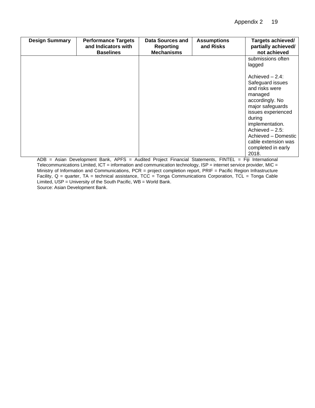| <b>Design Summary</b> | <b>Performance Targets</b><br>and Indicators with<br><b>Baselines</b> | <b>Data Sources and</b><br><b>Reporting</b><br><b>Mechanisms</b> | <b>Assumptions</b><br>and Risks | Targets achieved/<br>partially achieved/<br>not achieved                                                                                                                                                                                                     |
|-----------------------|-----------------------------------------------------------------------|------------------------------------------------------------------|---------------------------------|--------------------------------------------------------------------------------------------------------------------------------------------------------------------------------------------------------------------------------------------------------------|
|                       |                                                                       |                                                                  |                                 | submissions often<br>lagged                                                                                                                                                                                                                                  |
|                       |                                                                       |                                                                  |                                 | Achieved - 2.4:<br>Safeguard issues<br>and risks were<br>managed<br>accordingly. No<br>major safeguards<br>issues experienced<br>during<br>implementation.<br>Achieved $-2.5$ :<br>Achieved - Domestic<br>cable extension was<br>completed in early<br>2018. |

ADB = Asian Development Bank, APFS = Audited Project Financial Statements, FINTEL = Fiji International Telecommunications Limited, ICT = information and communication technology, ISP = internet service provider, MIC = Ministry of Information and Communications, PCR = project completion report, PRIF = Pacific Region Infrastructure Facility, Q = quarter, TA = technical assistance, TCC = Tonga Communications Corporation, TCL = Tonga Cable Limited, USP = University of the South Pacific, WB = World Bank. Source: Asian Development Bank.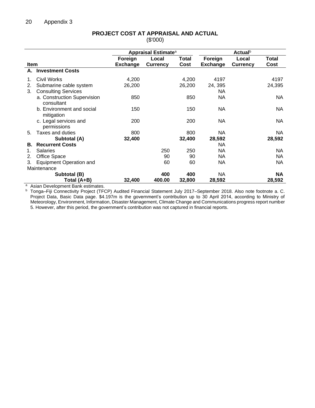<span id="page-29-0"></span>

|             |                                |                 | <b>Appraisal Estimate<sup>a</sup></b> |               |                 | <b>Actual</b> <sup>b</sup> |               |
|-------------|--------------------------------|-----------------|---------------------------------------|---------------|-----------------|----------------------------|---------------|
| <b>Item</b> |                                | Foreign         | Local                                 | Total<br>Cost | Foreign         | Local                      | Total<br>Cost |
| А.          | <b>Investment Costs</b>        | <b>Exchange</b> | <b>Currency</b>                       |               | <b>Exchange</b> | <b>Currency</b>            |               |
|             |                                |                 |                                       |               |                 |                            |               |
| 1.          | Civil Works                    | 4,200           |                                       | 4,200         | 4197            |                            | 4197          |
| 2.          | Submarine cable system         | 26,200          |                                       | 26,200        | 24, 395         |                            | 24,395        |
| 3.          | <b>Consulting Services</b>     |                 |                                       |               | NA              |                            |               |
|             | a. Construction Supervision    | 850             |                                       | 850           | <b>NA</b>       |                            | NA            |
|             | consultant                     |                 |                                       |               |                 |                            |               |
|             | b. Environment and social      | 150             |                                       | 150           | NA              |                            | <b>NA</b>     |
|             | mitigation                     |                 |                                       |               |                 |                            |               |
|             | c. Legal services and          | 200             |                                       | 200           | NA              |                            | NA            |
|             | permissions                    |                 |                                       |               |                 |                            |               |
| 5.          | Taxes and duties               | 800             |                                       | 800           | NA              |                            | NA.           |
|             | Subtotal (A)                   | 32,400          |                                       | 32,400        | 28,592          |                            | 28,592        |
| В.          | <b>Recurrent Costs</b>         |                 |                                       |               | <b>NA</b>       |                            |               |
| 1.          | <b>Salaries</b>                |                 | 250                                   | 250           | <b>NA</b>       |                            | NA            |
| 2.          | <b>Office Space</b>            |                 | 90                                    | 90            | NA              |                            | NA.           |
| 3.          | <b>Equipment Operation and</b> |                 | 60                                    | 60            | NA              |                            | <b>NA</b>     |
|             | Maintenance                    |                 |                                       |               |                 |                            |               |
|             | Subtotal (B)                   |                 | 400                                   | 400           | NA              |                            | <b>NA</b>     |
|             | Total (A+B)                    | 32,400          | 400.00                                | 32,800        | 28,592          |                            | 28,592        |

#### **PROJECT COST AT APPRAISAL AND ACTUAL** (\$'000)

<sup>a</sup> Asian Development Bank estimates.<br>
<sup>b</sup> Tonga–Fiji Connectivity Project (TFO

<sup>b</sup> Tonga–Fiji Connectivity Project (TFCP) Audited Financial Statement July 2017–September 2018. Also note footnote a. C. Project Data, Basic Data page. \$4.197m is the government's contribution up to 30 April 2014, according to Ministry of Meteorology, Environment, Information, Disaster Management, Climate Change and Communications progress report number 5. However, after this period, the government's contribution was not captured in financial reports.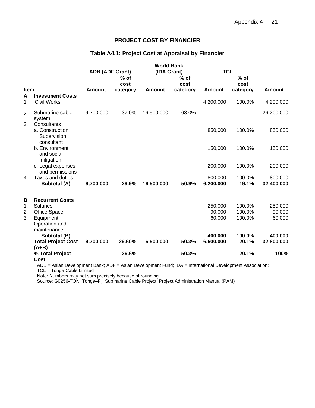#### **PROJECT COST BY FINANCIER**

<span id="page-30-0"></span>

|           |                                                             |                        |          | <b>World Bank</b> |          |               |          |               |
|-----------|-------------------------------------------------------------|------------------------|----------|-------------------|----------|---------------|----------|---------------|
|           |                                                             | <b>ADB (ADF Grant)</b> |          | (IDA Grant)       |          | <b>TCL</b>    |          |               |
|           |                                                             |                        | $%$ of   |                   | % of     |               | % of     |               |
|           |                                                             |                        | cost     |                   | cost     |               | cost     |               |
| Item<br>A | <b>Investment Costs</b>                                     | <b>Amount</b>          | category | <b>Amount</b>     | category | <b>Amount</b> | category | <b>Amount</b> |
| 1.        | <b>Civil Works</b>                                          |                        |          |                   |          | 4,200,000     | 100.0%   | 4,200,000     |
| 2.        | Submarine cable<br>system                                   | 9,700,000              | 37.0%    | 16,500,000        | 63.0%    |               |          | 26,200,000    |
| 3.        | Consultants<br>a. Construction<br>Supervision<br>consultant |                        |          |                   |          | 850,000       | 100.0%   | 850,000       |
|           | b. Environment<br>and social<br>mitigation                  |                        |          |                   |          | 150,000       | 100.0%   | 150,000       |
|           | c. Legal expenses<br>and permissions                        |                        |          |                   |          | 200,000       | 100.0%   | 200,000       |
| 4.        | <b>Taxes and duties</b>                                     |                        |          |                   |          | 800,000       | 100.0%   | 800,000       |
|           | Subtotal (A)                                                | 9,700,000              | 29.9%    | 16,500,000        | 50.9%    | 6,200,000     | 19.1%    | 32,400,000    |
| В         | <b>Recurrent Costs</b>                                      |                        |          |                   |          |               |          |               |
| 1.        | <b>Salaries</b>                                             |                        |          |                   |          | 250,000       | 100.0%   | 250,000       |
| 2.        | Office Space                                                |                        |          |                   |          | 90,000        | 100.0%   | 90,000        |
| 3.        | Equipment                                                   |                        |          |                   |          | 60,000        | 100.0%   | 60,000        |
|           | Operation and<br>maintenance                                |                        |          |                   |          |               |          |               |
|           | Subtotal (B)                                                |                        |          |                   |          | 400,000       | 100.0%   | 400,000       |
|           | <b>Total Project Cost</b>                                   | 9,700,000              | 29.60%   | 16,500,000        | 50.3%    | 6,600,000     | 20.1%    | 32,800,000    |
|           | $(A+B)$<br>% Total Project<br>Cost                          |                        | 29.6%    |                   | 50.3%    |               | 20.1%    | 100%          |

#### **Table A4.1: Project Cost at Appraisal by Financier**

ADB = Asian Development Bank; ADF = Asian Development Fund; IDA = International Development Association; TCL = Tonga Cable Limited

Note: Numbers may not sum precisely because of rounding.

Source: G0256-TON: Tonga–Fiji Submarine Cable Project, Project Administration Manual (PAM)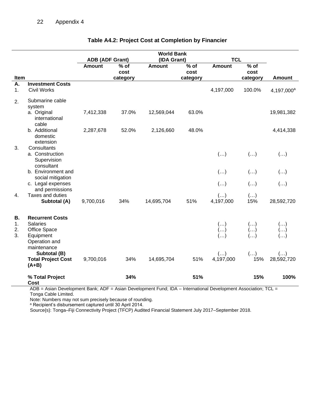|                      |                                                                                         |                        |                | <b>World Bank</b> |                |                                                  |                              |                                       |
|----------------------|-----------------------------------------------------------------------------------------|------------------------|----------------|-------------------|----------------|--------------------------------------------------|------------------------------|---------------------------------------|
|                      |                                                                                         | <b>ADB (ADF Grant)</b> |                | (IDA Grant)       |                | <b>TCL</b>                                       |                              |                                       |
|                      |                                                                                         | <b>Amount</b>          | $%$ of<br>cost | <b>Amount</b>     | $%$ of<br>cost | Amount                                           | $%$ of<br>cost               |                                       |
| Item                 |                                                                                         |                        | category       |                   | category       |                                                  | category                     | <b>Amount</b>                         |
| Α.                   | <b>Investment Costs</b>                                                                 |                        |                |                   |                |                                                  |                              |                                       |
| 1.                   | <b>Civil Works</b>                                                                      |                        |                |                   |                | 4,197,000                                        | 100.0%                       | 4,197,000 <sup>a</sup>                |
| 2.                   | Submarine cable<br>system                                                               |                        |                |                   |                |                                                  |                              |                                       |
|                      | a. Original<br>international<br>cable                                                   | 7,412,338              | 37.0%          | 12,569,044        | 63.0%          |                                                  |                              | 19,981,382                            |
|                      | b. Additional<br>domestic<br>extension                                                  | 2,287,678              | 52.0%          | 2,126,660         | 48.0%          |                                                  |                              | 4,414,338                             |
| 3.                   | Consultants<br>a. Construction<br>Supervision<br>consultant                             |                        |                |                   |                | $(\ldots)$                                       | $(\ldots)$                   | $\left( \ldots \right)$               |
|                      | b. Environment and<br>social mitigation                                                 |                        |                |                   |                | $(\ldots)$                                       | $(\ldots)$                   | $(\ldots)$                            |
|                      | c. Legal expenses<br>and permissions                                                    |                        |                |                   |                | $(\ldots)$                                       | $(\ldots)$                   | $(\ldots)$                            |
| 4.                   | Taxes and duties<br>Subtotal (A)                                                        | 9,700,016              | 34%            | 14,695,704        | 51%            | $\left( \ldots \right)$<br>4,197,000             | $\left(\ldots\right)$<br>15% | 28,592,720                            |
| В.<br>1.<br>2.<br>3. | <b>Recurrent Costs</b><br><b>Salaries</b><br>Office Space<br>Equipment<br>Operation and |                        |                |                   |                | $\begin{pmatrix} \ldots \\ \ldots \end{pmatrix}$ | $(\ldots)$                   |                                       |
|                      | maintenance<br>Subtotal (B)<br><b>Total Project Cost</b><br>$(A+B)$                     | 9,700,016              | 34%            | 14,695,704        | 51%            | $\left( \ldots \right)$<br>4,197,000             | $(\ldots)$<br>15%            | $\left( \ldots \right)$<br>28,592,720 |
|                      | % Total Project<br><b>Cost</b>                                                          |                        | 34%            |                   | 51%            |                                                  | 15%                          | 100%                                  |

## **Table A4.2: Project Cost at Completion by Financier**

ADB = Asian Development Bank; ADF = Asian Development Fund; IDA – International Development Association; TCL = Tonga Cable Limited.

Note: Numbers may not sum precisely because of rounding.

<sup>a</sup> Recipient's disbursement captured until 30 April 2014.

Source{s}: Tonga–Fiji Connectivity Project (TFCP) Audited Financial Statement July 2017–September 2018.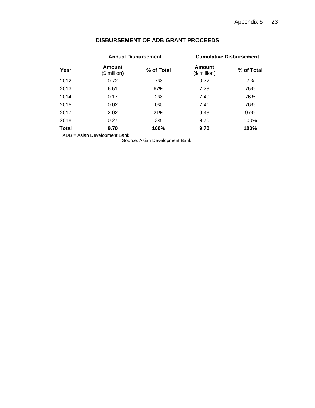<span id="page-32-0"></span>

|              |                        | <b>Annual Disbursement</b> | <b>Cumulative Disbursement</b> |            |  |
|--------------|------------------------|----------------------------|--------------------------------|------------|--|
| Year         | Amount<br>$$$ million) | % of Total                 | Amount<br>$$$ million)         | % of Total |  |
| 2012         | 0.72                   | 7%                         | 0.72                           | 7%         |  |
| 2013         | 6.51                   | 67%                        | 7.23                           | 75%        |  |
| 2014         | 0.17                   | 2%                         | 7.40                           | 76%        |  |
| 2015         | 0.02                   | $0\%$                      | 7.41                           | 76%        |  |
| 2017         | 2.02                   | 21%                        | 9.43                           | 97%        |  |
| 2018         | 0.27                   | 3%                         | 9.70                           | 100%       |  |
| <b>Total</b> | 9.70                   | 100%                       | 9.70                           | 100%       |  |

## **DISBURSEMENT OF ADB GRANT PROCEEDS**

ADB = Asian Development Bank.

<span id="page-32-1"></span>Source: Asian Development Bank.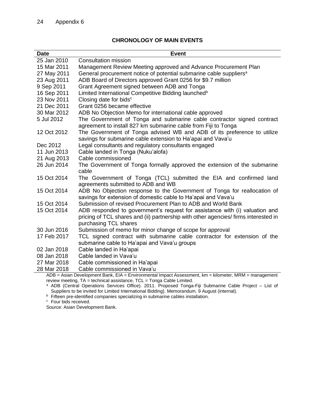## **CHRONOLOGY OF MAIN EVENTS**

| <b>Date</b> | <b>Event</b>                                                                                                                                                                  |
|-------------|-------------------------------------------------------------------------------------------------------------------------------------------------------------------------------|
| 25 Jan 2010 | <b>Consultation mission</b>                                                                                                                                                   |
| 15 Mar 2011 | Management Review Meeting approved and Advance Procurement Plan                                                                                                               |
| 27 May 2011 | General procurement notice of potential submarine cable suppliers <sup>a</sup>                                                                                                |
| 23 Aug 2011 | ADB Board of Directors approved Grant 0256 for \$9.7 million                                                                                                                  |
| 9 Sep 2011  | Grant Agreement signed between ADB and Tonga                                                                                                                                  |
| 16 Sep 2011 | Limited International Competitive Bidding launched <sup>b</sup>                                                                                                               |
| 23 Nov 2011 | Closing date for bids <sup>c</sup>                                                                                                                                            |
| 21 Dec 2011 | Grant 0256 became effective                                                                                                                                                   |
| 30 Mar 2012 | ADB No Objection Memo for international cable approved                                                                                                                        |
| 5 Jul 2012  | The Government of Tonga and submarine cable contractor signed contract<br>agreement to install 827 km submarine cable from Fiji to Tonga                                      |
| 12 Oct 2012 | The Government of Tonga advised WB and ADB of its preference to utilize<br>savings for submarine cable extension to Ha'apai and Vava'u                                        |
| Dec 2012    | Legal consultants and regulatory consultants engaged                                                                                                                          |
| 11 Jun 2013 | Cable landed in Tonga (Nuku'alofa)                                                                                                                                            |
| 21 Aug 2013 | Cable commissioned                                                                                                                                                            |
| 26 Jun 2014 | The Government of Tonga formally approved the extension of the submarine                                                                                                      |
|             | cable                                                                                                                                                                         |
| 15 Oct 2014 | The Government of Tonga (TCL) submitted the EIA and confirmed land                                                                                                            |
|             | agreements submitted to ADB and WB                                                                                                                                            |
| 15 Oct 2014 | ADB No Objection response to the Government of Tonga for reallocation of<br>savings for extension of domestic cable to Ha'apai and Vava'u                                     |
| 15 Oct 2014 | Submission of revised Procurement Plan to ADB and World Bank                                                                                                                  |
| 15 Oct 2014 | ADB responded to government's request for assistance with (i) valuation and                                                                                                   |
|             | pricing of TCL shares and (ii) partnership with other agencies/ firms interested in                                                                                           |
|             | purchasing TCL shares                                                                                                                                                         |
| 30 Jun 2016 | Submission of memo for minor change of scope for approval                                                                                                                     |
| 17 Feb 2017 | TCL signed contract with submarine cable contractor for extension of the                                                                                                      |
|             | submarine cable to Ha'apai and Vava'u groups                                                                                                                                  |
| 02 Jan 2018 | Cable landed in Ha'apai                                                                                                                                                       |
| 08 Jan 2018 | Cable landed in Vava'u                                                                                                                                                        |
| 27 Mar 2018 | Cable commissioned in Ha'apai                                                                                                                                                 |
| 28 Mar 2018 | Cable commissioned in Vava'u                                                                                                                                                  |
|             | $ADB = Asian Development Bank$ , $EIA = Environmental Impact Assessment$ , $km = kilometer$ , $MRM = management$                                                              |
|             | review meeting, TA = technical assistance, TCL = Tonga Cable Limited.<br>ADD (Control Operations Comisso Office), 2014. Dresseed Tenne Fill Cubrostine Cable Dreiget. List of |

<sup>a</sup> ADB (Central Operations Services Office). 2011. Proposed Tonga-Fiji Submarine Cable Project – List of Suppliers to be invited for Limited International Bidding). Memorandum. 9 August (internal).

<sup>b</sup> Fifteen pre-identified companies specializing in submarine cables installation.

<sup>c</sup> Four bids received.

Source: Asian Development Bank.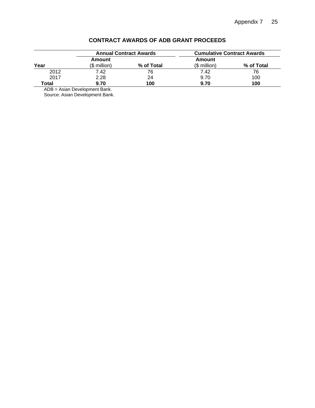<span id="page-34-0"></span>

|       |                        | <b>Annual Contract Awards</b> | <b>Cumulative Contract Awards</b> |            |  |
|-------|------------------------|-------------------------------|-----------------------------------|------------|--|
| Year  | Amount<br>(\$ million) | % of Total                    | Amount<br>$($$ million)           | % of Total |  |
| 2012  | 7.42                   | 76                            | 7.42                              | 76         |  |
| 2017  | 2.28                   | 24                            | 9.70                              | 100        |  |
| Total | 9.70                   | 100                           | 9.70                              | 100        |  |

## **CONTRACT AWARDS OF ADB GRANT PROCEEDS**

ADB = Asian Development Bank. Source: Asian Development Bank.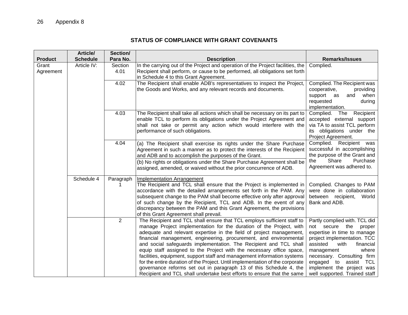# **STATUS OF COMPLIANCE WITH GRANT COVENANTS**

<span id="page-35-0"></span>

| <b>Product</b>     | Article/<br><b>Schedule</b> | Section/<br>Para No. | <b>Description</b>                                                                                                                                                                                                                                                                                                                                                                                                                                                                                                                                                                                                                                                                                                                                  | <b>Remarks/Issues</b>                                                                                                                                                                                                                                                                                                   |
|--------------------|-----------------------------|----------------------|-----------------------------------------------------------------------------------------------------------------------------------------------------------------------------------------------------------------------------------------------------------------------------------------------------------------------------------------------------------------------------------------------------------------------------------------------------------------------------------------------------------------------------------------------------------------------------------------------------------------------------------------------------------------------------------------------------------------------------------------------------|-------------------------------------------------------------------------------------------------------------------------------------------------------------------------------------------------------------------------------------------------------------------------------------------------------------------------|
| Grant<br>Agreement | Article IV:                 | Section<br>4.01      | In the carrying out of the Project and operation of the Project facilities, the<br>Recipient shall perform, or cause to be performed, all obligations set forth<br>in Schedule 4 to this Grant Agreement.                                                                                                                                                                                                                                                                                                                                                                                                                                                                                                                                           | Complied.                                                                                                                                                                                                                                                                                                               |
|                    |                             | 4.02                 | The Recipient shall enable ADB's representatives to inspect the Project,<br>the Goods and Works, and any relevant records and documents.                                                                                                                                                                                                                                                                                                                                                                                                                                                                                                                                                                                                            | Complied. The Recipient was<br>cooperative,<br>providing<br>support as<br>when<br>and<br>requested<br>during<br>implementation.                                                                                                                                                                                         |
|                    |                             | 4.03                 | The Recipient shall take all actions which shall be necessary on its part to<br>enable TCL to perform its obligations under the Project Agreement and<br>shall not take or permit any action which would interfere with the<br>performance of such obligations.                                                                                                                                                                                                                                                                                                                                                                                                                                                                                     | Complied.<br>Recipient<br>The<br>accepted external support<br>via TA to assist TCL perform<br>its obligations under the<br>Project Agreement.                                                                                                                                                                           |
|                    |                             | 4.04                 | (a) The Recipient shall exercise its rights under the Share Purchase<br>Agreement in such a manner as to protect the interests of the Recipient<br>and ADB and to accomplish the purposes of the Grant.                                                                                                                                                                                                                                                                                                                                                                                                                                                                                                                                             | Complied. Recipient was<br>successful in accomplishing<br>the purpose of the Grant and                                                                                                                                                                                                                                  |
|                    |                             |                      | (b) No rights or obligations under the Share Purchase Agreement shall be<br>assigned, amended, or waived without the prior concurrence of ADB.                                                                                                                                                                                                                                                                                                                                                                                                                                                                                                                                                                                                      | Purchase<br>Share<br>the<br>Agreement was adhered to.                                                                                                                                                                                                                                                                   |
|                    | Schedule 4                  | Paragraph            | <b>Implementation Arrangement</b><br>The Recipient and TCL shall ensure that the Project is implemented in<br>accordance with the detailed arrangements set forth in the PAM. Any<br>subsequent change to the PAM shall become effective only after approval<br>of such change by the Recipient, TCL and ADB. In the event of any<br>discrepancy between the PAM and this Grant Agreement, the provisions<br>of this Grant Agreement shall prevail.                                                                                                                                                                                                                                                                                                 | Complied. Changes to PAM<br>were done in collaboration<br>between recipient,<br>World<br>Bank and ADB.                                                                                                                                                                                                                  |
|                    |                             | 2                    | The Recipient and TCL shall ensure that TCL employs sufficient staff to<br>manage Project implementation for the duration of the Project, with<br>adequate and relevant expertise in the field of project management,<br>financial management, engineering, procurement, and environmental<br>and social safeguards implementation. The Recipient and TCL shall<br>equip staff assigned to the Project with the necessary office space,<br>facilities, equipment, support staff and management information systems<br>for the entire duration of the Project. Until implementation of the corporate<br>governance reforms set out in paragraph 13 of this Schedule 4, the<br>Recipient and TCL shall undertake best efforts to ensure that the same | Partly complied with. TCL did<br>not secure<br>proper<br>the<br>expertise in time to manage<br>project implementation. TCC<br>assisted<br>with<br>financial<br>where<br>management<br>necessary. Consulting firm<br>to<br>engaged<br>assist<br><b>TCL</b><br>implement the project was<br>well supported. Trained staff |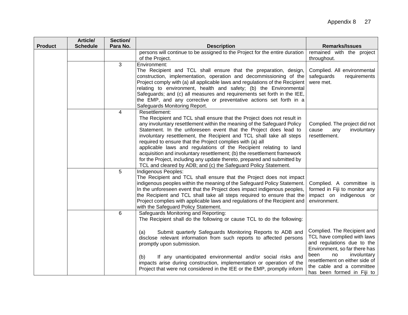| <b>Product</b> | Article/<br><b>Schedule</b> | Section/<br>Para No. | <b>Description</b>                                                                                                                                | <b>Remarks/Issues</b>                                       |
|----------------|-----------------------------|----------------------|---------------------------------------------------------------------------------------------------------------------------------------------------|-------------------------------------------------------------|
|                |                             |                      | persons will continue to be assigned to the Project for the entire duration                                                                       | remained with the project                                   |
|                |                             |                      | of the Project.                                                                                                                                   | throughout.                                                 |
|                |                             | $\mathbf{3}$         | Environment:                                                                                                                                      |                                                             |
|                |                             |                      | The Recipient and TCL shall ensure that the preparation, design,                                                                                  | Complied. All environmental                                 |
|                |                             |                      | construction, implementation, operation and decommissioning of the                                                                                | safeguards<br>requirements                                  |
|                |                             |                      | Project comply with (a) all applicable laws and regulations of the Recipient<br>relating to environment, health and safety; (b) the Environmental | were met.                                                   |
|                |                             |                      | Safeguards; and (c) all measures and requirements set forth in the IEE,                                                                           |                                                             |
|                |                             |                      | the EMP, and any corrective or preventative actions set forth in a                                                                                |                                                             |
|                |                             |                      | Safeguards Monitoring Report.                                                                                                                     |                                                             |
|                |                             | $\overline{4}$       | Resettlement:                                                                                                                                     |                                                             |
|                |                             |                      | The Recipient and TCL shall ensure that the Project does not result in                                                                            |                                                             |
|                |                             |                      | any involuntary resettlement within the meaning of the Safeguard Policy                                                                           | Complied. The project did not                               |
|                |                             |                      | Statement. In the unforeseen event that the Project does lead to<br>involuntary resettlement, the Recipient and TCL shall take all steps          | involuntary<br>cause<br>any<br>resettlement.                |
|                |                             |                      | required to ensure that the Project complies with (a) all                                                                                         |                                                             |
|                |                             |                      | applicable laws and regulations of the Recipient relating to land                                                                                 |                                                             |
|                |                             |                      | acquisition and involuntary resettlement; (b) the resettlement framework                                                                          |                                                             |
|                |                             |                      | for the Project, including any update thereto, prepared and submitted by                                                                          |                                                             |
|                |                             |                      | TCL and cleared by ADB; and (c) the Safeguard Policy Statement.                                                                                   |                                                             |
|                |                             | 5                    | Indigenous Peoples:                                                                                                                               |                                                             |
|                |                             |                      | The Recipient and TCL shall ensure that the Project does not impact<br>indigenous peoples within the meaning of the Safeguard Policy Statement.   | Complied. A committee is                                    |
|                |                             |                      | In the unforeseen event that the Project does impact indigenous peoples,                                                                          | formed in Fiji to monitor any                               |
|                |                             |                      | the Recipient and TCL shall take all steps required to ensure that the                                                                            | impact on indigenous or                                     |
|                |                             |                      | Project complies with applicable laws and regulations of the Recipient and                                                                        | environment.                                                |
|                |                             |                      | with the Safeguard Policy Statement.                                                                                                              |                                                             |
|                |                             | 6                    | Safeguards Monitoring and Reporting:                                                                                                              |                                                             |
|                |                             |                      | The Recipient shall do the following or cause TCL to do the following:                                                                            |                                                             |
|                |                             |                      | Submit quarterly Safeguards Monitoring Reports to ADB and<br>(a)                                                                                  | Complied. The Recipient and                                 |
|                |                             |                      | disclose relevant information from such reports to affected persons                                                                               | TCL have complied with laws                                 |
|                |                             |                      | promptly upon submission.                                                                                                                         | and regulations due to the                                  |
|                |                             |                      |                                                                                                                                                   | Environment, so far there has                               |
|                |                             |                      | If any unanticipated environmental and/or social risks and<br>(b)                                                                                 | involuntary<br>been<br>no                                   |
|                |                             |                      | impacts arise during construction, implementation or operation of the                                                                             | resettlement on either side of<br>the cable and a committee |
|                |                             |                      | Project that were not considered in the IEE or the EMP, promptly inform                                                                           | has been formed in Fiji to                                  |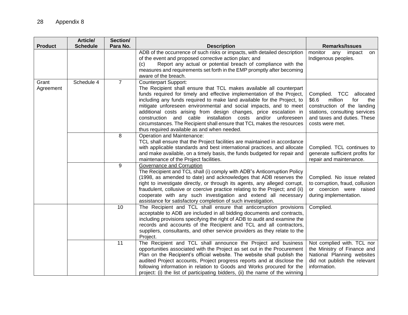| <b>Product</b>     | Article/<br><b>Schedule</b> | Section/<br>Para No. | <b>Description</b>                                                                                                                                                                                                                                                                                                                                                                                                                                                                                                                                                                        | <b>Remarks/Issues</b>                                                                                                                                                          |
|--------------------|-----------------------------|----------------------|-------------------------------------------------------------------------------------------------------------------------------------------------------------------------------------------------------------------------------------------------------------------------------------------------------------------------------------------------------------------------------------------------------------------------------------------------------------------------------------------------------------------------------------------------------------------------------------------|--------------------------------------------------------------------------------------------------------------------------------------------------------------------------------|
|                    |                             |                      | ADB of the occurrence of such risks or impacts, with detailed description<br>of the event and proposed corrective action plan; and<br>Report any actual or potential breach of compliance with the<br>(c)<br>measures and requirements set forth in the EMP promptly after becoming<br>aware of the breach.                                                                                                                                                                                                                                                                               | monitor<br>any impact<br>on<br>Indigenous peoples.                                                                                                                             |
| Grant<br>Agreement | Schedule 4                  | $\overline{7}$       | <b>Counterpart Support:</b><br>The Recipient shall ensure that TCL makes available all counterpart<br>funds required for timely and effective implementation of the Project,<br>including any funds required to make land available for the Project, to<br>mitigate unforeseen environmental and social impacts, and to meet<br>additional costs arising from design changes, price escalation in<br>construction and cable installation costs and/or unforeseen<br>circumstances. The Recipient shall ensure that TCL makes the resources<br>thus required available as and when needed. | Complied. TCC<br>allocated<br>\$6.6<br>million<br>for<br>the<br>construction of the landing<br>stations, consulting services<br>and taxes and duties. These<br>costs were met. |
|                    |                             | 8                    | <b>Operation and Maintenance:</b><br>TCL shall ensure that the Project facilities are maintained in accordance<br>with applicable standards and best international practices, and allocate<br>and make available, on a timely basis, the funds budgeted for repair and<br>maintenance of the Project facilities.                                                                                                                                                                                                                                                                          | Complied. TCL continues to<br>generate sufficient profits for<br>repair and maintenance.                                                                                       |
|                    |                             | 9                    | Governance and Corruption<br>The Recipient and TCL shall (i) comply with ADB"s Anticorruption Policy<br>(1998, as amended to date) and acknowledges that ADB reserves the<br>right to investigate directly, or through its agents, any alleged corrupt,<br>fraudulent, collusive or coercive practice relating to the Project; and (ii)<br>cooperate with any such investigation and extend all necessary<br>assistance for satisfactory completion of such investigation.                                                                                                                | Complied. No issue related<br>to corruption, fraud, collusion<br>or coercion were raised<br>during implementation.                                                             |
|                    |                             | 10                   | The Recipient and TCL shall ensure that anticorruption provisions<br>acceptable to ADB are included in all bidding documents and contracts,<br>including provisions specifying the right of ADB to audit and examine the<br>records and accounts of the Recipient and TCL and all contractors,<br>suppliers, consultants, and other service providers as they relate to the<br>Project.                                                                                                                                                                                                   | Complied.                                                                                                                                                                      |
|                    |                             | 11                   | The Recipient and TCL shall announce the Project and business<br>opportunities associated with the Project as set out in the Procurement<br>Plan on the Recipient's official website. The website shall publish the<br>audited Project accounts, Project progress reports and at disclose the<br>following information in relation to Goods and Works procured for the<br>project: (i) the list of participating bidders, (ii) the name of the winning                                                                                                                                    | Not complied with. TCL nor<br>the Ministry of Finance and<br>National Planning websites<br>did not publish the relevant<br>information.                                        |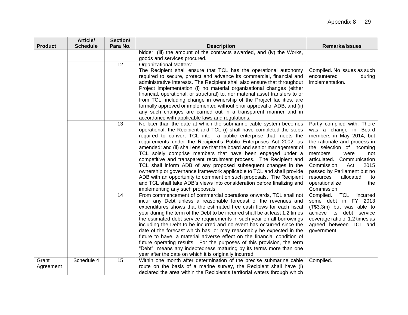| <b>Product</b> | Article/<br><b>Schedule</b> | Section/<br>Para No. | <b>Description</b>                                                                                                                                      | <b>Remarks/Issues</b>                                      |
|----------------|-----------------------------|----------------------|---------------------------------------------------------------------------------------------------------------------------------------------------------|------------------------------------------------------------|
|                |                             |                      | bidder, (iii) the amount of the contracts awarded, and (iv) the Works,                                                                                  |                                                            |
|                |                             |                      | goods and services procured.                                                                                                                            |                                                            |
|                |                             | 12                   | <b>Organizational Matters:</b>                                                                                                                          |                                                            |
|                |                             |                      | The Recipient shall ensure that TCL has the operational autonomy                                                                                        | Complied. No issues as such                                |
|                |                             |                      | required to secure, protect and advance its commercial, financial and                                                                                   | encountered<br>during                                      |
|                |                             |                      | administrative interests. The Recipient shall also ensure that throughout                                                                               | implementation.                                            |
|                |                             |                      | Project implementation (i) no material organizational changes (either                                                                                   |                                                            |
|                |                             |                      | financial, operational, or structural) to, nor material asset transfers to or<br>from TCL, including change in ownership of the Project facilities, are |                                                            |
|                |                             |                      | formally approved or implemented without prior approval of ADB; and (ii)                                                                                |                                                            |
|                |                             |                      | any such changes are carried out in a transparent manner and in                                                                                         |                                                            |
|                |                             |                      | accordance with applicable laws and regulations.                                                                                                        |                                                            |
|                |                             | 13                   | No later than the date at which the submarine cable system becomes                                                                                      | Partly complied with. There                                |
|                |                             |                      | operational, the Recipient and TCL (i) shall have completed the steps                                                                                   | was a change in Board                                      |
|                |                             |                      | required to convert TCL into a public enterprise that meets the                                                                                         | members in May 2014, but                                   |
|                |                             |                      | requirements under the Recipient's Public Enterprises Act 2002, as                                                                                      | the rationale and process in                               |
|                |                             |                      | amended; and (ii) shall ensure that the board and senior management of                                                                                  | the selection of incoming                                  |
|                |                             |                      | TCL solely comprise members that have been engaged under a<br>competitive and transparent recruitment process. The Recipient and                        | members<br>were<br>not<br>articulated. Communication       |
|                |                             |                      | TCL shall inform ADB of any proposed subsequent changes in the                                                                                          | Commission<br>2015<br>Act                                  |
|                |                             |                      | ownership or governance framework applicable to TCL and shall provide                                                                                   | passed by Parliament but no                                |
|                |                             |                      | ADB with an opportunity to comment on such proposals. The Recipient                                                                                     | resources<br>allocated<br>to                               |
|                |                             |                      | and TCL shall take ADB's views into consideration before finalizing and                                                                                 | operationalize<br>the                                      |
|                |                             |                      | implementing any such proposals.                                                                                                                        | Commission.                                                |
|                |                             | 14                   | From commencement of commercial operations onwards, TCL shall not                                                                                       | Complied.<br>TCL<br>incurred                               |
|                |                             |                      | incur any Debt unless a reasonable forecast of the revenues and                                                                                         | some debt in FY 2013                                       |
|                |                             |                      | expenditures shows that the estimated free cash flows for each fiscal                                                                                   | (T\$3.3m) but was able to                                  |
|                |                             |                      | year during the term of the Debt to be incurred shall be at least 1.2 times<br>the estimated debt service requirements in such year on all borrowings   | achieve its debt service<br>coverage ratio of 1.2 times as |
|                |                             |                      | including the Debt to be incurred and no event has occurred since the                                                                                   | agreed between TCL and                                     |
|                |                             |                      | date of the forecast which has, or may reasonably be expected in the                                                                                    | government.                                                |
|                |                             |                      | future to have, a material adverse effect on the financial condition of                                                                                 |                                                            |
|                |                             |                      | future operating results. For the purposes of this provision, the term                                                                                  |                                                            |
|                |                             |                      | "Debt" means any indebtedness maturing by its terms more than one                                                                                       |                                                            |
|                |                             |                      | year after the date on which it is originally incurred.                                                                                                 |                                                            |
| Grant          | Schedule 4                  | 15                   | Within one month after determination of the precise submarine cable                                                                                     | Complied.                                                  |
| Agreement      |                             |                      | route on the basis of a marine survey, the Recipient shall have (i)<br>declared the area within the Recipient's territorial waters through which        |                                                            |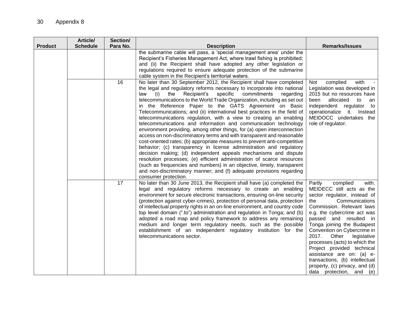|                | Article/        | Section/ |                                                                                                                                                                                                                                                                                                                                                                                                                                                                                                                                                                                                                                                                                                                                                                                                                                                                                                                                                                                                                                                                                                                                                                                               |                                                                                                                                                                                                                                                                                                                                                                                                                                                                                                   |
|----------------|-----------------|----------|-----------------------------------------------------------------------------------------------------------------------------------------------------------------------------------------------------------------------------------------------------------------------------------------------------------------------------------------------------------------------------------------------------------------------------------------------------------------------------------------------------------------------------------------------------------------------------------------------------------------------------------------------------------------------------------------------------------------------------------------------------------------------------------------------------------------------------------------------------------------------------------------------------------------------------------------------------------------------------------------------------------------------------------------------------------------------------------------------------------------------------------------------------------------------------------------------|---------------------------------------------------------------------------------------------------------------------------------------------------------------------------------------------------------------------------------------------------------------------------------------------------------------------------------------------------------------------------------------------------------------------------------------------------------------------------------------------------|
| <b>Product</b> | <b>Schedule</b> | Para No. | <b>Description</b><br>the submarine cable will pass, a 'special management area' under the                                                                                                                                                                                                                                                                                                                                                                                                                                                                                                                                                                                                                                                                                                                                                                                                                                                                                                                                                                                                                                                                                                    | <b>Remarks/Issues</b>                                                                                                                                                                                                                                                                                                                                                                                                                                                                             |
|                |                 |          | Recipient's Fisheries Management Act, where trawl fishing is prohibited;                                                                                                                                                                                                                                                                                                                                                                                                                                                                                                                                                                                                                                                                                                                                                                                                                                                                                                                                                                                                                                                                                                                      |                                                                                                                                                                                                                                                                                                                                                                                                                                                                                                   |
|                |                 |          | and (ii) the Recipient shall have adopted any other legislation or                                                                                                                                                                                                                                                                                                                                                                                                                                                                                                                                                                                                                                                                                                                                                                                                                                                                                                                                                                                                                                                                                                                            |                                                                                                                                                                                                                                                                                                                                                                                                                                                                                                   |
|                |                 |          | regulations required to ensure adequate protection of the submarine                                                                                                                                                                                                                                                                                                                                                                                                                                                                                                                                                                                                                                                                                                                                                                                                                                                                                                                                                                                                                                                                                                                           |                                                                                                                                                                                                                                                                                                                                                                                                                                                                                                   |
|                |                 |          | cable system in the Recipient's territorial waters.                                                                                                                                                                                                                                                                                                                                                                                                                                                                                                                                                                                                                                                                                                                                                                                                                                                                                                                                                                                                                                                                                                                                           |                                                                                                                                                                                                                                                                                                                                                                                                                                                                                                   |
|                |                 | 16       | No later than 30 September 2012, the Recipient shall have completed<br>the legal and regulatory reforms necessary to incorporate into national<br>specific<br>the<br>Recipient's<br>commitments<br>law<br>(i)<br>regarding<br>telecommunications to the World Trade Organization, including as set out<br>in the Reference Paper to the GATS Agreement on Basic<br>Telecommunications; and (ii) international best practices in the field of<br>telecommunications regulation, with a view to creating an enabling<br>telecommunications and information and communication technology<br>environment providing, among other things, for (a) open interconnection<br>access on non-discriminatory terms and with transparent and reasonable<br>cost-oriented rates; (b) appropriate measures to prevent anti-competitive<br>behavior; (c) transparency in license administration and regulatory<br>decision making; (d) independent appeals mechanisms and dispute<br>resolution processes; (e) efficient administration of scarce resources<br>(such as frequencies and numbers) in an objective, timely, transparent<br>and non-discriminatory manner; and (f) adequate provisions regarding | complied<br>with<br>Not<br>Legislation was developed in<br>2015 but no resources have<br>allocated<br>to<br>been<br>an<br>independent regulator<br>to<br>operationalize it. Instead<br>MEIDOCC undertakes the<br>role of regulator.                                                                                                                                                                                                                                                               |
|                |                 | 17       | consumer protection.<br>No later than 30 June 2013, the Recipient shall have (a) completed the<br>legal and regulatory reforms necessary to create an enabling<br>environment for secure electronic transactions, ensuring on-line security<br>(protection against cyber-crimes), protection of personal data, protection<br>of intellectual property rights in an on-line environment, and country code<br>top level domain (".to") administration and regulation in Tonga; and (b)<br>adopted a road map and policy framework to address any remaining<br>medium and longer term regulatory needs, such as the possible<br>establishment of an independent regulatory institution for the<br>telecommunications sector.                                                                                                                                                                                                                                                                                                                                                                                                                                                                     | Partly<br>complied<br>with.<br>MEIDECC still acts as the<br>sector regulator, instead of<br>Communications<br>the<br>Commission. Relevant laws<br>e.g. the cybercrime act was<br>passed and resulted in<br>Tonga joining the Budapest<br>Convention on Cybercrime in<br>2017.<br>Other<br>legislative<br>processes (acts) to which the<br>Project provided technical<br>assistance are on: (a) e-<br>transactions, (b) intellectual<br>property, (c) privacy, and (d)<br>data protection, and (e) |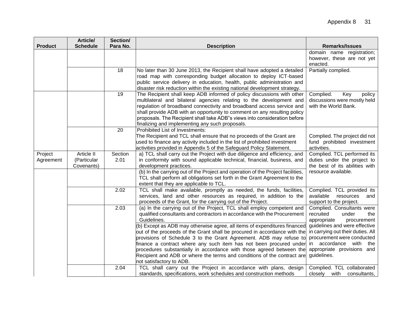|                | Article/        | Section/ |                                                                                                                                            |                                                      |
|----------------|-----------------|----------|--------------------------------------------------------------------------------------------------------------------------------------------|------------------------------------------------------|
| <b>Product</b> | <b>Schedule</b> | Para No. | <b>Description</b>                                                                                                                         | <b>Remarks/Issues</b>                                |
|                |                 |          |                                                                                                                                            | domain name registration;                            |
|                |                 |          |                                                                                                                                            | however, these are not yet                           |
|                |                 |          |                                                                                                                                            | enacted.                                             |
|                |                 | 18       | No later than 30 June 2013, the Recipient shall have adopted a detailed                                                                    | Partially complied.                                  |
|                |                 |          | road map with corresponding budget allocation to deploy ICT-based                                                                          |                                                      |
|                |                 |          | public service delivery in education, health, public administration and                                                                    |                                                      |
|                |                 |          | disaster risk reduction within the existing national development strategy.                                                                 |                                                      |
|                |                 | 19       | The Recipient shall keep ADB informed of policy discussions with other                                                                     | Complied.<br>Key<br>policy                           |
|                |                 |          | multilateral and bilateral agencies relating to the development and                                                                        | discussions were mostly held                         |
|                |                 |          | regulation of broadband connectivity and broadband access service and                                                                      | with the World Bank.                                 |
|                |                 |          | shall provide ADB with an opportunity to comment on any resulting policy                                                                   |                                                      |
|                |                 |          | proposals. The Recipient shall take ADB"s views into consideration before                                                                  |                                                      |
|                |                 | 20       | finalizing and implementing any such proposals.<br><b>Prohibited List of Investments:</b>                                                  |                                                      |
|                |                 |          | The Recipient and TCL shall ensure that no proceeds of the Grant are                                                                       | Complied. The project did not                        |
|                |                 |          | used to finance any activity included in the list of prohibited investment                                                                 | fund prohibited investment                           |
|                |                 |          | activities provided in Appendix 5 of the Safeguard Policy Statement.                                                                       | activities.                                          |
| Project        | Article II      | Section  | a) TCL shall carry out the Project with due diligence and efficiency, and                                                                  | Complied. TCL performed its                          |
| Agreement      | (Particular     | 2.01     | in conformity with sound applicable technical, financial, business, and                                                                    | duties under the project to                          |
|                | Covenants)      |          | development practices.                                                                                                                     | the best of its abilities with                       |
|                |                 |          | (b) In the carrying out of the Project and operation of the Project facilities,                                                            | resource available.                                  |
|                |                 |          | TCL shall perform all obligations set forth in the Grant Agreement to the                                                                  |                                                      |
|                |                 |          | extent that they are applicable to TCL.                                                                                                    |                                                      |
|                |                 | 2.02     | TCL shall make available, promptly as needed, the funds, facilities,                                                                       | Complied. TCL provided its                           |
|                |                 |          | services, land and other resources as required, in addition to the                                                                         | available<br>resources<br>and                        |
|                |                 |          | proceeds of the Grant, for the carrying out of the Project.                                                                                | support to the project.                              |
|                |                 | 2.03     | (a) In the carrying out of the Project, TCL shall employ competent and                                                                     | Complied. Consultants were                           |
|                |                 |          | qualified consultants and contractors in accordance with the Procurement                                                                   | recruited<br>under<br>the                            |
|                |                 |          | Guidelines.                                                                                                                                | appropriate<br>procurement                           |
|                |                 |          | (b) Except as ADB may otherwise agree, all items of expenditures financed                                                                  | guidelines and were effective                        |
|                |                 |          | out of the proceeds of the Grant shall be procured in accordance with the                                                                  | in carrying out their duties. All                    |
|                |                 |          | provisions of Schedule 3 to the Grant Agreement. ADB may refuse to                                                                         | procurement were conducted<br>in accordance with the |
|                |                 |          | finance a contract where any such item has not been procured under<br>procedures substantially in accordance with those agreed between the | appropriate provisions and                           |
|                |                 |          | Recipient and ADB or where the terms and conditions of the contract are                                                                    | guidelines.                                          |
|                |                 |          | not satisfactory to ADB.                                                                                                                   |                                                      |
|                |                 | 2.04     | TCL shall carry out the Project in accordance with plans, design                                                                           | Complied. TCL collaborated                           |
|                |                 |          | standards, specifications, work schedules and construction methods                                                                         | closely with<br>consultants,                         |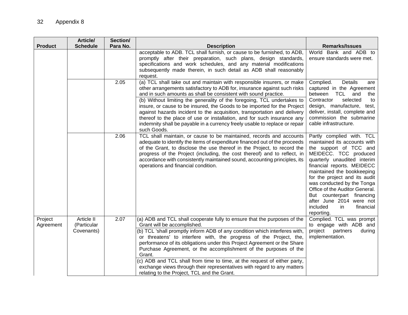| <b>Product</b>       | Article/<br><b>Schedule</b>             | Section/<br>Para No. | <b>Description</b>                                                                                                                                                                                                                                                                                                                                                                                                                                                                                                                                                                                                                | <b>Remarks/Issues</b>                                                                                                                                                                                                                                                                                                                                                                                           |
|----------------------|-----------------------------------------|----------------------|-----------------------------------------------------------------------------------------------------------------------------------------------------------------------------------------------------------------------------------------------------------------------------------------------------------------------------------------------------------------------------------------------------------------------------------------------------------------------------------------------------------------------------------------------------------------------------------------------------------------------------------|-----------------------------------------------------------------------------------------------------------------------------------------------------------------------------------------------------------------------------------------------------------------------------------------------------------------------------------------------------------------------------------------------------------------|
|                      |                                         |                      | acceptable to ADB. TCL shall furnish, or cause to be furnished, to ADB,<br>promptly after their preparation, such plans, design standards,<br>specifications and work schedules, and any material modifications<br>subsequently made therein, in such detail as ADB shall reasonably<br>request.                                                                                                                                                                                                                                                                                                                                  | World Bank and ADB to<br>ensure standards were met.                                                                                                                                                                                                                                                                                                                                                             |
|                      |                                         | 2.05                 | (a) TCL shall take out and maintain with responsible insurers, or make<br>other arrangements satisfactory to ADB for, insurance against such risks<br>and in such amounts as shall be consistent with sound practice.<br>(b) Without limiting the generality of the foregoing, TCL undertakes to<br>insure, or cause to be insured, the Goods to be imported for the Project<br>against hazards incident to the acquisition, transportation and delivery<br>thereof to the place of use or installation, and for such insurance any<br>indemnity shall be payable in a currency freely usable to replace or repair<br>such Goods. | Complied.<br>Details<br>are<br>captured in the Agreement<br>between<br>TCL and<br>the<br>Contractor<br>selected<br>to<br>design, manufacture, test,<br>deliver, install, complete and<br>commission the submarine<br>cable infrastructure.                                                                                                                                                                      |
|                      |                                         | 2.06                 | TCL shall maintain, or cause to be maintained, records and accounts<br>adequate to identify the items of expenditure financed out of the proceeds<br>of the Grant, to disclose the use thereof in the Project, to record the<br>progress of the Project (including, the cost thereof) and to reflect, in<br>accordance with consistently maintained sound, accounting principles, its<br>operations and financial condition.                                                                                                                                                                                                      | Partly complied with. TCL<br>maintained its accounts with<br>the support of TCC and<br>MEIDECC. TCC produced<br>quarterly unaudited interim<br>financial reports. MEIDECC<br>maintained the bookkeeping<br>for the project and its audit<br>was conducted by the Tonga<br>Office of the Auditor General.<br>But counterpart financing<br>after June 2014 were not<br>financial<br>included<br>in.<br>reporting. |
| Project<br>Agreement | Article II<br>(Particular<br>Covenants) | 2.07                 | (a) ADB and TCL shall cooperate fully to ensure that the purposes of the<br>Grant will be accomplished.<br>(b) TCL 'shall promptly inform ADB of any condition which interferes with,<br>or threatens' to interfere with, the progress of the Project, the,<br>performance of its obligations under this Project Agreement or the Share<br>Purchase Agreement, or the accomplishment of the purposes of the<br>Grant.<br>(c) ADB and TCL shall from time to time, at the request of either party,<br>exchange views through their representatives with regard to any matters<br>relating to the Project, TCL and the Grant.       | Complied. TCL was prompt<br>to engage with ADB and<br>project<br>partners<br>during<br>implementation.                                                                                                                                                                                                                                                                                                          |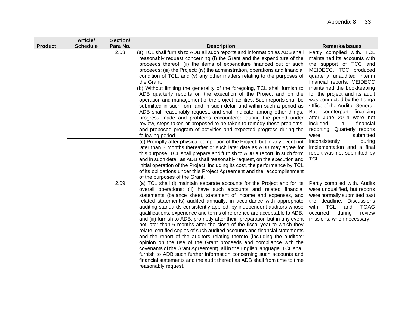|                | Article/        | Section/ |                                                                                                                                                                                                                                                                                                                                                                                                                                                                                                                                                                                                                                                                                                                                                                                                                                                                                                                                                                                                                                                                                                   |                                                                                                                                                                                                                                                                                                                                                                                                                                                       |
|----------------|-----------------|----------|---------------------------------------------------------------------------------------------------------------------------------------------------------------------------------------------------------------------------------------------------------------------------------------------------------------------------------------------------------------------------------------------------------------------------------------------------------------------------------------------------------------------------------------------------------------------------------------------------------------------------------------------------------------------------------------------------------------------------------------------------------------------------------------------------------------------------------------------------------------------------------------------------------------------------------------------------------------------------------------------------------------------------------------------------------------------------------------------------|-------------------------------------------------------------------------------------------------------------------------------------------------------------------------------------------------------------------------------------------------------------------------------------------------------------------------------------------------------------------------------------------------------------------------------------------------------|
| <b>Product</b> | <b>Schedule</b> | Para No. | <b>Description</b>                                                                                                                                                                                                                                                                                                                                                                                                                                                                                                                                                                                                                                                                                                                                                                                                                                                                                                                                                                                                                                                                                | <b>Remarks/Issues</b>                                                                                                                                                                                                                                                                                                                                                                                                                                 |
|                |                 | 2.08     | (a) TCL shall furnish to ADB all such reports and information as ADB shall<br>reasonably request concerning (I) the Grant and the expenditure of the<br>proceeds thereof; (ii) the items of expenditure financed out of such<br>proceeds; (iii) the Project; (iv) the administration, operations and financial<br>condition of TCL; and (v) any other matters relating to the purposes of<br>the Grant.<br>(b) Without limiting the generality of the foregoing, TCL shall furnish to<br>ADB quarterly reports on the execution of the Project and on the<br>operation and management of the project facilities. Such reports shall be<br>submitted in such form and in such detail and within such a period as<br>ADB shall reasonably request, and shall indicate, among other things,<br>progress made and problems encountered during the period under<br>review, steps taken or proposed to be taken to remedy these problems,<br>and proposed program of activities and expected progress during the<br>following period.                                                                   | Partly complied with. TCL<br>maintained its accounts with<br>the support of TCC and<br>MEIDECC. TCC produced<br>quarterly unaudited interim<br>financial reports. MEIDECC<br>maintained the bookkeeping<br>for the project and its audit<br>was conducted by the Tonga<br>Office of the Auditor General.<br>But counterpart financing<br>after June 2014 were not<br>included<br>in<br>financial<br>reporting. Quarterly reports<br>submitted<br>were |
|                |                 |          | (c) Promptly after physical completion of the Project, but in any event not<br>later than 3 months thereafter or such later date as ADB may agree for<br>this purpose, TCL shall prepare and furnish to ADB a report, in such form<br>and in such detail as ADB shall reasonably request, on the execution and<br>initial operation of the Project, including its cost, the performance by TCL<br>of its obligations under this Project Agreement and the accomplishment<br>of the purposes of the Grant.                                                                                                                                                                                                                                                                                                                                                                                                                                                                                                                                                                                         | inconsistently<br>during<br>implementation and a final<br>report was not submitted by<br>TCL.                                                                                                                                                                                                                                                                                                                                                         |
|                |                 | 2.09     | (a) TCL shall (i) maintain separate accounts for the Project and for its<br>overall operations; (ii) have such accounts and related financial<br>statements (balance sheet, statement of income and expenses, and<br>related statements) audited annually, in accordance with appropriate<br>auditing standards consistently applied, by independent auditors whose<br>qualifications, experience and terms of reference are acceptable to ADB;<br>and (iii) furnish to ADB, promptly after their preparation but in any event<br>not later than 6 months after the close of the fiscal year to which they<br>relate, certified copies of such audited accounts and financial statements<br>and the report of the auditors relating thereto (including the auditors'<br>opinion on the use of the Grant proceeds and compliance with the<br>covenants of the Grant Agreement), all in the English language. TCL shall<br>furnish to ADB such further information concerning such accounts and<br>financial statements and the audit thereof as ADB shall from time to time<br>reasonably request. | Partly complied with. Audits<br>were unqualified, but reports<br>were normally submitted past<br>the deadline. Discussions<br><b>TCL</b><br>with<br><b>TOAG</b><br>and<br>occurred<br>review<br>during<br>missions, when necessary.                                                                                                                                                                                                                   |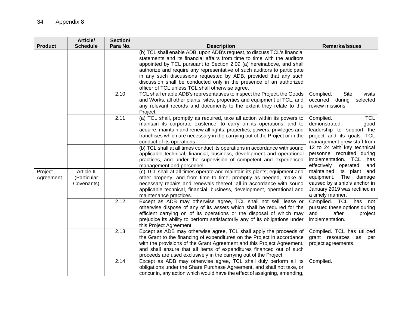| <b>Product</b>       | Article/<br><b>Schedule</b>             | Section/<br>Para No. | <b>Description</b>                                                                                                                                                                                                                                                                                                                                                                                                                                                                                      | <b>Remarks/Issues</b>                                                                                                                    |
|----------------------|-----------------------------------------|----------------------|---------------------------------------------------------------------------------------------------------------------------------------------------------------------------------------------------------------------------------------------------------------------------------------------------------------------------------------------------------------------------------------------------------------------------------------------------------------------------------------------------------|------------------------------------------------------------------------------------------------------------------------------------------|
|                      |                                         |                      | (b) TCL shall enable ADB, upon ADB's request, to discuss TCL's financial<br>statements and its financial affairs from time to time with the auditors<br>appointed by TCL pursuant to Section 2.09 (a) hereinabove, and shall<br>authorize and require any representative of such auditors to participate<br>in any such discussions requested by ADB, provided that any such<br>discussion shall be conducted only in the presence of an authorized<br>officer of TCL unless TCL shall otherwise agree. |                                                                                                                                          |
|                      |                                         | 2.10                 | TCL shall enable ADB's representatives to inspect the Project, the Goods<br>and Works, all other plants, sites, properties and equipment of TCL, and<br>any relevant records and documents to the extent they relate to the<br>Project.                                                                                                                                                                                                                                                                 | Complied.<br>Site<br>visits<br>occurred during<br>selected<br>review missions.                                                           |
|                      |                                         | 2.11                 | (a) TCL shall, promptly as required, take all action within its powers to<br>maintain its corporate existence, to carry on its operations, and to<br>acquire, maintain and renew all rights, properties, powers, privileges and<br>franchises which are necessary in the carrying out of the Project or in the<br>conduct of its operations.                                                                                                                                                            | <b>TCL</b><br>Complied.<br>demonstrated<br>good<br>leadership to support the<br>project and its goals. TCL<br>management grew staff from |
|                      |                                         |                      | (b) TCL shall at all times conduct its operations in accordance with sound<br>applicable technical, financial, business, development and operational<br>practices, and under the supervision of competent and experienced<br>management and personnel.                                                                                                                                                                                                                                                  | 12 to 24 with key technical<br>personnel recruited during<br>implementation. TCL has<br>effectively<br>operated<br>and                   |
| Project<br>Agreement | Article II<br>(Particular<br>Covenants) |                      | (c) TCL shall at all times operate and maintain its plants; equipment and<br>other property, and from time to time, promptly as needed, make all<br>necessary repairs and renewals thereof, all in accordance with sound<br>applicable technical, financial, business, development, operational and<br>maintenance practices.                                                                                                                                                                           | maintained its plant and<br>equipment. The damage<br>caused by a ship's anchor in<br>January 2019 was rectified in<br>a timely manner.   |
|                      |                                         | 2.12                 | Except as ADB may otherwise agree, TCL shall not sell, lease or<br>otherwise dispose of any of its assets which shall be required for the<br>efficient carrying on of its operations or the disposal of which may<br>prejudice its ability to perform satisfactorily any of its obligations under<br>this Project Agreement.                                                                                                                                                                            | Complied. TCL has not<br>pursued these options during<br>and<br>after<br>project<br>implementation.                                      |
|                      |                                         | 2.13                 | Except as ADB may otherwise agree, TCL shall apply the proceeds of<br>the Grant to the financing of expenditures on the Project in accordance<br>with the provisions of the Grant Agreement and this Project Agreement,<br>and shall ensure that all items of expenditures financed out of such<br>proceeds are used exclusively in the carrying out of the Project.                                                                                                                                    | Complied. TCL has utilized<br>grant resources as<br>per<br>project agreements.                                                           |
|                      |                                         | 2.14                 | Except as ADB may otherwise agree, TCL shall duly perform all its<br>obligations under the Share Purchase Agreement, and shall not take, or<br>concur in, any action which would have the effect of assigning, amending,                                                                                                                                                                                                                                                                                | Complied.                                                                                                                                |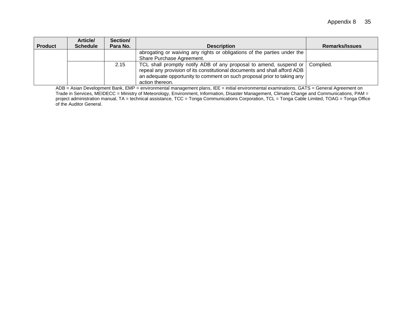|                | Article/        | Section/ |                                                                           |                |
|----------------|-----------------|----------|---------------------------------------------------------------------------|----------------|
| <b>Product</b> | <b>Schedule</b> | Para No. | <b>Description</b>                                                        | Remarks/Issues |
|                |                 |          | abrogating or waiving any rights or obligations of the parties under the  |                |
|                |                 |          | Share Purchase Agreement.                                                 |                |
|                |                 | 2.15     | TCL shall promptly notify ADB of any proposal to amend, suspend or        | Complied.      |
|                |                 |          | repeal any provision of its constitutional documents and shall afford ADB |                |
|                |                 |          | an adequate opportunity to comment on such proposal prior to taking any   |                |
|                |                 |          | action thereon.                                                           |                |

<span id="page-44-0"></span>ADB = Asian Development Bank, EMP = environmental management plans, IEE = initial environmental examinations, GATS = General Agreement on Trade in Services, MEIDECC = Ministry of Meteorology, Environment, Information, Disaster Management, Climate Change and Communications, PAM = project administration manual, TA = technical assistance, TCC = Tonga Communications Corporation, TCL = Tonga Cable Limited, TOAG = Tonga Office of the Auditor General.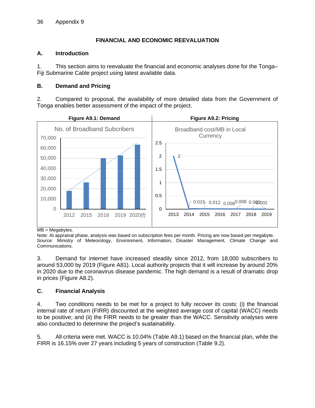## **FINANCIAL AND ECONOMIC REEVALUATION**

## **A. Introduction**

1. This section aims to reevaluate the financial and economic analyses done for the Tonga– Fiji Submarine Cable project using latest available data.

## **B. Demand and Pricing**

2. Compared to proposal, the availability of more detailed data from the Government of Tonga enables better assessment of the impact of the project.



 $MB = Megabytes.$ 

Note: At appraisal phase, analysis was based on subscription fees per month. Pricing are now based per megabyte. Source: Ministry of Meteorology, Environment, Information, Disaster Management, Climate Change and Communications.

3. Demand for internet have increased steadily since 2012, from 18,000 subscribers to around 53,000 by 2019 (Figure A81). Local authority projects that it will increase by around 20% in 2020 due to the coronavirus disease pandemic. The high demand is a result of dramatic drop in prices (Figure A8.2).

# **C. Financial Analysis**

4. Two conditions needs to be met for a project to fully recover its costs: (i) the financial internal rate of return (FIRR) discounted at the weighted average cost of capital (WACC) needs to be positive; and (ii) the FIRR needs to be greater than the WACC. Sensitivity analyses were also conducted to determine the project's sustainability.

5. All criteria were met. WACC is 10.04% (Table A9.1) based on the financial plan, while the FIRR is 16.15% over 27 years including 5 years of construction (Table 9.2).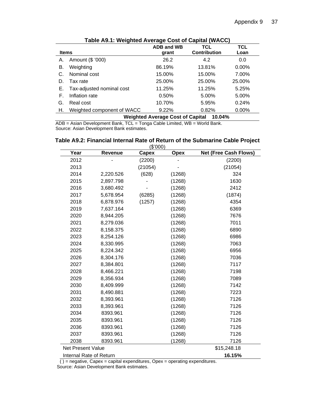| <b>Items</b> |                              | <b>ADB and WB</b><br>grant              | <b>TCL</b><br><b>Contribution</b> | <b>TCL</b><br>Loan |
|--------------|------------------------------|-----------------------------------------|-----------------------------------|--------------------|
| А.           | Amount (\$ '000)             | 26.2                                    | 4.2                               | 0.0                |
| В.           | Weighting                    | 86.19%                                  | 13.81%                            | $0.00\%$           |
| C.           | Nominal cost                 | 15.00%                                  | 15.00%                            | 7.00%              |
| D.           | Tax rate                     | 25.00%                                  | 25.00%                            | 25.00%             |
|              | E. Tax-adjusted nominal cost | 11.25%                                  | 11.25%                            | 5.25%              |
| F.           | Inflation rate               | 0.50%                                   | 5.00%                             | 5.00%              |
| G.           | Real cost                    | 10.70%                                  | 5.95%                             | 0.24%              |
| Н.           | Weighted component of WACC   | $9.22\%$                                | 0.82%                             | $0.00\%$           |
|              |                              | <b>Weighted Average Cost of Capital</b> | $10.04\%$                         |                    |

**Table A9.1: Weighted Average Cost of Capital (WACC)**

ADB = Asian Development Bank, TCL = Tonga Cable Limited, WB = World Bank. Source: Asian Development Bank estimates.

| (\$'000)                          |                |         |             |                              |  |  |  |
|-----------------------------------|----------------|---------|-------------|------------------------------|--|--|--|
| Year                              | <b>Revenue</b> | Capex   | <b>Opex</b> | <b>Net (Free Cash Flows)</b> |  |  |  |
| 2012                              |                | (2200)  |             | (2200)                       |  |  |  |
| 2013                              |                | (21054) |             | (21054)                      |  |  |  |
| 2014                              | 2,220.526      | (628)   | (1268)      | 324                          |  |  |  |
| 2015                              | 2,897.798      |         | (1268)      | 1630                         |  |  |  |
| 2016                              | 3,680.492      |         | (1268)      | 2412                         |  |  |  |
| 2017                              | 5,678.954      | (6285)  | (1268)      | (1874)                       |  |  |  |
| 2018                              | 6,878.976      | (1257)  | (1268)      | 4354                         |  |  |  |
| 2019                              | 7,637.164      |         | (1268)      | 6369                         |  |  |  |
| 2020                              | 8,944.205      |         | (1268)      | 7676                         |  |  |  |
| 2021                              | 8,279.036      |         | (1268)      | 7011                         |  |  |  |
| 2022                              | 8,158.375      |         | (1268)      | 6890                         |  |  |  |
| 2023                              | 8,254.126      |         | (1268)      | 6986                         |  |  |  |
| 2024                              | 8,330.995      |         | (1268)      | 7063                         |  |  |  |
| 2025                              | 8,224.342      |         | (1268)      | 6956                         |  |  |  |
| 2026                              | 8,304.176      |         | (1268)      | 7036                         |  |  |  |
| 2027                              | 8,384.801      |         | (1268)      | 7117                         |  |  |  |
| 2028                              | 8,466.221      |         | (1268)      | 7198                         |  |  |  |
| 2029                              | 8,356.934      |         | (1268)      | 7089                         |  |  |  |
| 2030                              | 8,409.999      |         | (1268)      | 7142                         |  |  |  |
| 2031                              | 8,490.881      |         | (1268)      | 7223                         |  |  |  |
| 2032                              | 8,393.961      |         | (1268)      | 7126                         |  |  |  |
| 2033                              | 8,393.961      |         | (1268)      | 7126                         |  |  |  |
| 2034                              | 8393.961       |         | (1268)      | 7126                         |  |  |  |
| 2035                              | 8393.961       |         | (1268)      | 7126                         |  |  |  |
| 2036                              | 8393.961       |         | (1268)      | 7126                         |  |  |  |
| 2037                              | 8393.961       |         | (1268)      | 7126                         |  |  |  |
| 2038                              | 8393.961       |         | (1268)      | 7126                         |  |  |  |
| <b>Net Present Value</b>          |                |         |             | \$15,248.18                  |  |  |  |
| Internal Rate of Return<br>16.15% |                |         |             |                              |  |  |  |

**Table A9.2: Financial Internal Rate of Return of the Submarine Cable Project**

 $( )$  = negative, Capex = capital expenditures, Opex = operating expenditures. Source: Asian Development Bank estimates.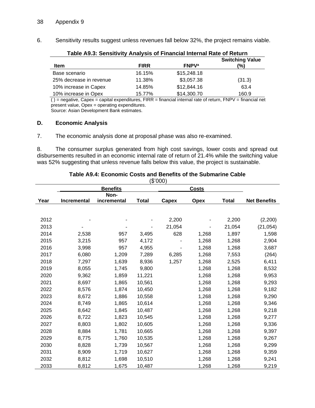6. Sensitivity results suggest unless revenues fall below 32%, the project remains viable.

| Table A9.3: Sensitivity Analysis of Financial Internal Rate of Return |             |                         |                               |  |  |  |
|-----------------------------------------------------------------------|-------------|-------------------------|-------------------------------|--|--|--|
| ltem                                                                  | <b>FIRR</b> | <b>FNPV<sup>a</sup></b> | <b>Switching Value</b><br>(%) |  |  |  |
| Base scenario                                                         | 16.15%      | \$15,248.18             |                               |  |  |  |
| 25% decrease in revenue                                               | 11.38%      | \$3,057.38              | (31.3)                        |  |  |  |
| 10% increase in Capex                                                 | 14.85%      | \$12,844.16             | 63.4                          |  |  |  |
| 10% increase in Opex                                                  | 15.77%      | \$14,300.70             | 160.9                         |  |  |  |

( ) = negative, Capex = capital expenditures, FIRR = financial internal rate of return, FNPV = financial net present value, Opex = operating expenditures.

Source: Asian Development Bank estimates.

#### **D. Economic Analysis**

7. The economic analysis done at proposal phase was also re-examined.

8. The consumer surplus generated from high cost savings, lower costs and spread out disbursements resulted in an economic internal rate of return of 21.4% while the switching value was 52% suggesting that unless revenue falls below this value, the project is sustainable.

| (\$'000) |                    |             |              |        |             |              |                     |
|----------|--------------------|-------------|--------------|--------|-------------|--------------|---------------------|
|          |                    |             | <b>Costs</b> |        |             |              |                     |
|          |                    | Non-        |              |        |             |              |                     |
| Year     | <b>Incremental</b> | incremental | <b>Total</b> | Capex  | <b>Opex</b> | <b>Total</b> | <b>Net Benefits</b> |
|          |                    |             |              |        |             |              |                     |
| 2012     |                    |             |              | 2,200  |             | 2,200        | (2,200)             |
| 2013     |                    |             |              | 21,054 |             | 21,054       | (21, 054)           |
| 2014     | 2,538              | 957         | 3,495        | 628    | 1,268       | 1,897        | 1,598               |
| 2015     | 3,215              | 957         | 4,172        |        | 1,268       | 1,268        | 2,904               |
| 2016     | 3,998              | 957         | 4,955        |        | 1,268       | 1,268        | 3,687               |
| 2017     | 6,080              | 1,209       | 7,289        | 6,285  | 1,268       | 7,553        | (264)               |
| 2018     |                    |             |              |        |             |              |                     |
|          | 7,297              | 1,639       | 8,936        | 1,257  | 1,268       | 2,525        | 6,411               |
| 2019     | 8,055              | 1,745       | 9,800        |        | 1,268       | 1,268        | 8,532               |
| 2020     | 9,362              | 1,859       | 11,221       |        | 1,268       | 1,268        | 9,953               |
| 2021     | 8,697              | 1,865       | 10,561       |        | 1,268       | 1,268        | 9,293               |
| 2022     | 8,576              | 1,874       | 10,450       |        | 1,268       | 1,268        | 9,182               |
| 2023     | 8,672              | 1,886       | 10,558       |        | 1,268       | 1,268        | 9,290               |
| 2024     | 8,749              | 1,865       | 10,614       |        | 1,268       | 1,268        | 9,346               |
| 2025     | 8,642              | 1,845       | 10,487       |        | 1,268       | 1,268        | 9,218               |
| 2026     | 8,722              | 1,823       | 10,545       |        | 1,268       | 1,268        | 9,277               |
| 2027     | 8,803              | 1,802       | 10,605       |        | 1,268       | 1,268        | 9,336               |
| 2028     | 8,884              | 1,781       | 10,665       |        | 1,268       | 1,268        | 9,397               |
| 2029     | 8,775              | 1,760       | 10,535       |        | 1,268       | 1,268        | 9,267               |
| 2030     | 8,828              | 1,739       | 10,567       |        | 1,268       | 1,268        | 9,299               |
| 2031     | 8,909              | 1,719       | 10,627       |        | 1,268       | 1,268        | 9,359               |
| 2032     | 8,812              | 1,698       | 10,510       |        | 1,268       | 1,268        | 9,241               |
| 2033     | 8,812              | 1,675       | 10,487       |        | 1,268       | 1,268        | 9,219               |

#### **Table A9.4: Economic Costs and Benefits of the Submarine Cable**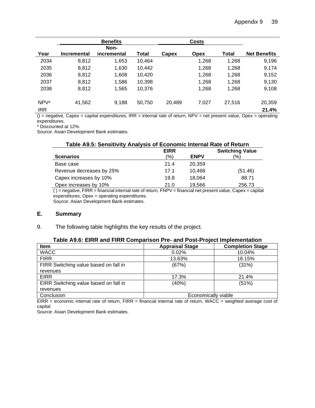|                                | <b>Benefits</b>    |                     |        | <b>Costs</b> |             |        |                     |  |
|--------------------------------|--------------------|---------------------|--------|--------------|-------------|--------|---------------------|--|
| Year                           | <b>Incremental</b> | Non-<br>incremental | Total  | Capex        | <b>Opex</b> | Total  | <b>Net Benefits</b> |  |
| 2034                           | 8,812              | 1,653               | 10,464 |              | 1,268       | 1,268  | 9,196               |  |
| 2035                           | 8,812              | 1,630               | 10,442 |              | 1,268       | 1,268  | 9,174               |  |
| 2036                           | 8,812              | 1,608               | 10,420 |              | 1,268       | 1,268  | 9,152               |  |
| 2037                           | 8,812              | 1,586               | 10,398 |              | 1,268       | 1,268  | 9,130               |  |
| 2038                           | 8,812              | 1,565               | 10,376 |              | 1,268       | 1,268  | 9,108               |  |
| NPV <sup>a</sup><br><b>IRR</b> | 41,562             | 9,188               | 50,750 | 20,489       | 7,027       | 27,516 | 20,359<br>21.4%     |  |

 $()$  = negative, Capex = capital expenditures, IRR = internal rate of return, NPV = net present value, Opex = operating expenditures.

<sup>a</sup> Discounted at 12%.

Source: Asian Development Bank estimates.

#### **Table A9.5: Sensitivity Analysis of Economic Internal Rate of Return**

| I able Ab.J. Selisitivity Analysis Of Economic Internal Kate Of Keturn | <b>EIRR</b> | <b>Switching Value</b> |               |
|------------------------------------------------------------------------|-------------|------------------------|---------------|
| <b>Scenarios</b>                                                       | (%)         | <b>ENPV</b>            | $\frac{1}{2}$ |
| Base case                                                              | 21.4        | 20.359                 |               |
| Revenue decreases by 25%                                               | 17.1        | 10.468                 | (51.46)       |
| Capex increases by 10%                                                 | 19.8        | 18.064                 | 88.71         |
| Opex increases by 10%                                                  | 21.0        | 19.566                 | 256.73        |

 $( )$  = negative, FIRR = financial internal rate of return, FNPV = financial net present value, Capex = capital expenditures, Opex = operating expenditures.

Source: Asian Development Bank estimates.

#### **E. Summary**

9. The following table highlights the key results of the project.

#### **Table A9.6: EIRR and FIRR Comparison Pre- and Post-Project Implementation**

| <b>Item</b>                           | <b>Appraisal Stage</b> | <b>Completion Stage</b> |
|---------------------------------------|------------------------|-------------------------|
| <b>WACC</b>                           | 0.02%                  | 10.04%                  |
| <b>FIRR</b>                           | 13.63%                 | 16.15%                  |
| FIRR Switching value based on fall in | (67%)                  | (31%)                   |
| revenues                              |                        |                         |
| <b>EIRR</b>                           | 17.3%                  | 21.4%                   |
| EIRR Switching value based on fall in | (40%)                  | (51%)                   |
| revenues                              |                        |                         |
| Conclusion                            | Economically viable    |                         |

EIRR = economic internal rate of return, FIRR = financial internal rate of return, WACC = weighted average cost of capital

Source: Asian Development Bank estimates.